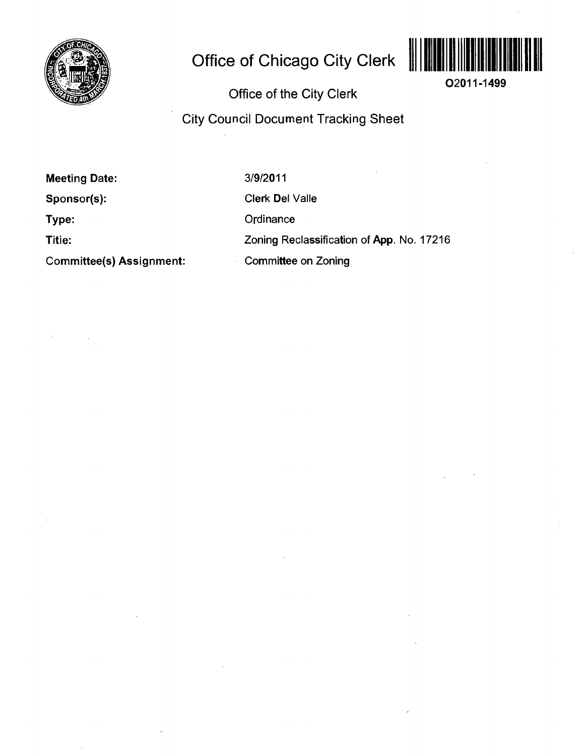

# **Office of Chicago City Clerk**



**02011-1499** 

**Office of the City Clerk** 

**City Council Document Tracking Sheet** 

**Meeting Date:** 

**Sponsor(s):** 

**Type:** 

**Titie:** 

**Committee(s) Assignment:** 

3/9/2011

Clerk Del Valle

**Ordinance** 

Zoning Reclassification of App. No. 17216

Committee on Zoning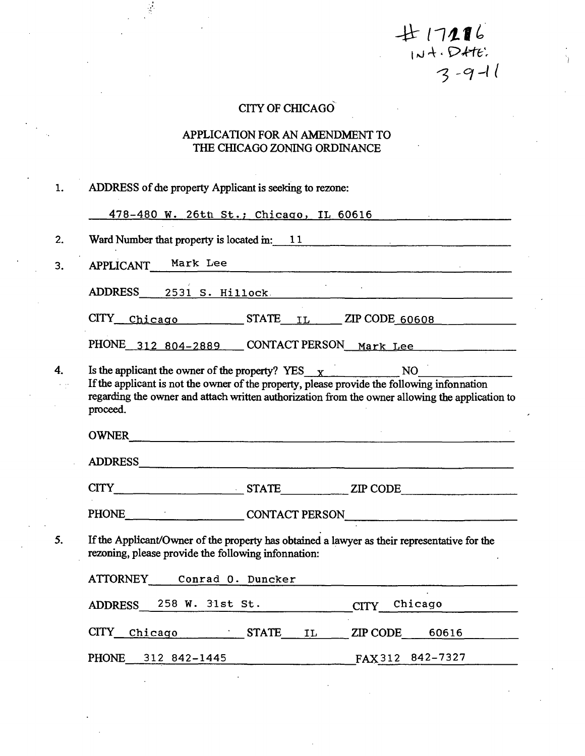## **CITY OF CHICAGO**

## **APPLICATION FOR AN AMENDMENT TO THE CHICAGO ZONING ORDINANCE**

| 1. | ADDRESS of die property Applicant is seeking to rezone:                                                                                                                                                                                                                          |
|----|----------------------------------------------------------------------------------------------------------------------------------------------------------------------------------------------------------------------------------------------------------------------------------|
|    | 478-480 W. 26th St.; Chicago, IL 60616                                                                                                                                                                                                                                           |
| 2. | Ward Number that property is located in: $11$ [2004]                                                                                                                                                                                                                             |
| 3. | APPLICANT Mark Lee                                                                                                                                                                                                                                                               |
|    | ADDRESS 2531 S. Hillock                                                                                                                                                                                                                                                          |
|    | $CITY$ Chicago STATE $IL$ ZIP CODE 60608                                                                                                                                                                                                                                         |
|    | PHONE 312 804-2889 CONTACT PERSON Mark Lee                                                                                                                                                                                                                                       |
| 4. | Is the applicant the owner of the property? $YES_{\text{X}}$ NO NO<br>If the applicant is not the owner of the property, please provide the following infonnation<br>regarding the owner and attach written authorization from the owner allowing the application to<br>proceed. |
|    | OWNER                                                                                                                                                                                                                                                                            |
|    |                                                                                                                                                                                                                                                                                  |
|    | CITY STATE ZIP CODE                                                                                                                                                                                                                                                              |
|    | PHONE CONTACT PERSON                                                                                                                                                                                                                                                             |
| 5. | If the Applicant/Owner of the property has obtained a lawyer as their representative for the<br>rezoning, please provide the following infonnation:                                                                                                                              |
|    | ATTORNEY Conrad 0. Duncker                                                                                                                                                                                                                                                       |
|    | ADDRESS 258 W. 31st St.<br>CITY_Chicago                                                                                                                                                                                                                                          |
|    | CITY Chicago STATE IL ZIP CODE 60616                                                                                                                                                                                                                                             |
|    | PHONE 312 842-1445<br>FAX 312 842-7327                                                                                                                                                                                                                                           |

 $#17216$  $3 - 9 - 11$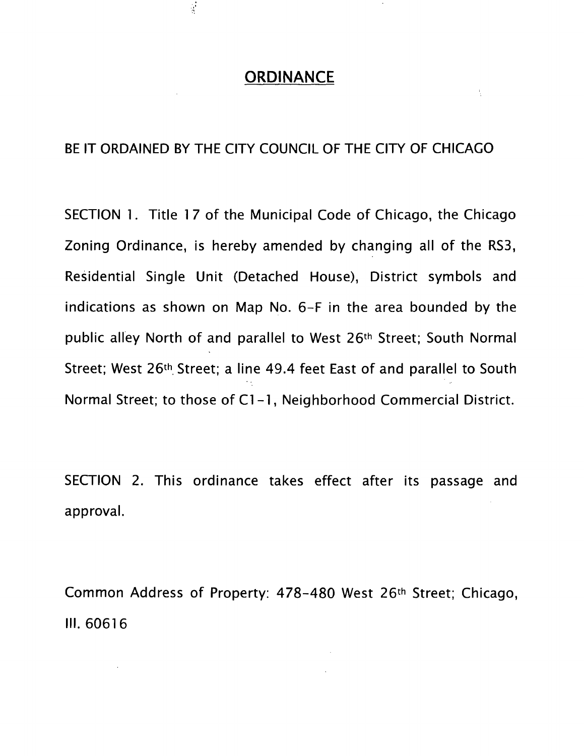## **ORDINANCE**

古

 $\frac{1}{2}$ 

## BE IT ORDAINED BY THE CITY COUNCIL OF THE CITY OF CHICAGO

SECTION 1. Title 17 of the Municipal Code of Chicago, the Chicago Zoning Ordinance, is hereby amended by changing all of the RS3, Residential Single Unit (Detached House), District symbols and indications as shown on Map No. 6-F in the area bounded by the public alley North of and parallel to West 26<sup>th</sup> Street; South Normal Street; West 26<sup>th</sup> Street; a line 49.4 feet East of and parallel to South Normal Street; to those of Cl-1 , Neighborhood Commercial District.

SECTION 2. This ordinance takes effect after its passage and approval.

Common Address of Property: 478-480 West 26<sup>th</sup> Street; Chicago, III. 60616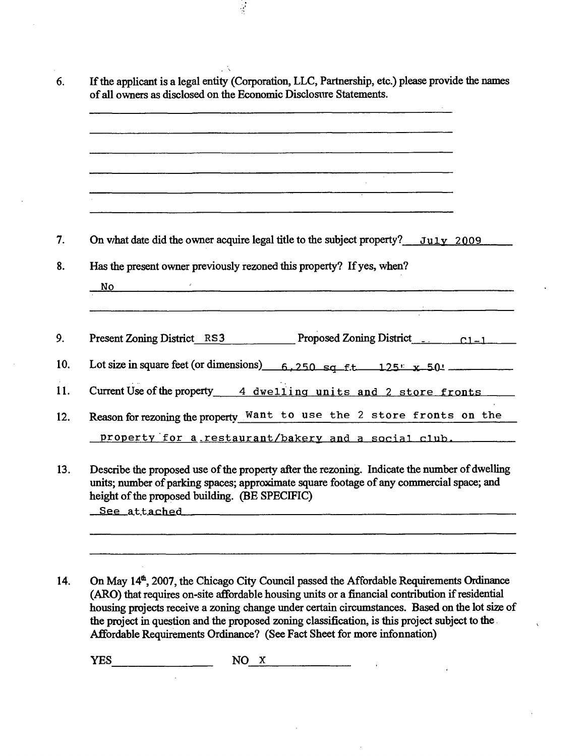| <u> 1980 - Johann Stoff, der andere som der andere som den stadsverken om den stadsverken om de stadsverken om de</u>                                      |
|------------------------------------------------------------------------------------------------------------------------------------------------------------|
|                                                                                                                                                            |
|                                                                                                                                                            |
|                                                                                                                                                            |
| On what date did the owner acquire legal title to the subject property? July 2009<br>Has the present owner previously rezoned this property? If yes, when? |
| $\mathbf{No}$<br><u> 1980 - Jan Barnett, fransk politik (d. 1980)</u><br>Present Zoning District RS3 Proposed Zoning District C1-1                         |
| Lot size in square feet (or dimensions) $6,250$ sq f.t $125$ x 50'                                                                                         |
| Current Use of the property 4 dwelling units and 2 store fronts                                                                                            |
| Reason for rezoning the property Want to use the 2 store fronts on the                                                                                     |

 $\frac{1}{2}$ 

height of the proposed building. (BE SPECIFIC) See attached

**14. On May 14\*, 2007, the Chicago City Council passed the Affordable Requirements Ordinance (ARO) that requires on-site affordable housing units or a financial contribution if residential**  housing projects receive a zoning change under certain circumstances. Based on the lot size of **the project in question and the proposed zoning classification, is this project subject to the Affordable Requirements Ordinance? (See Fact Sheet for more infonnation)** 

**YES NO X**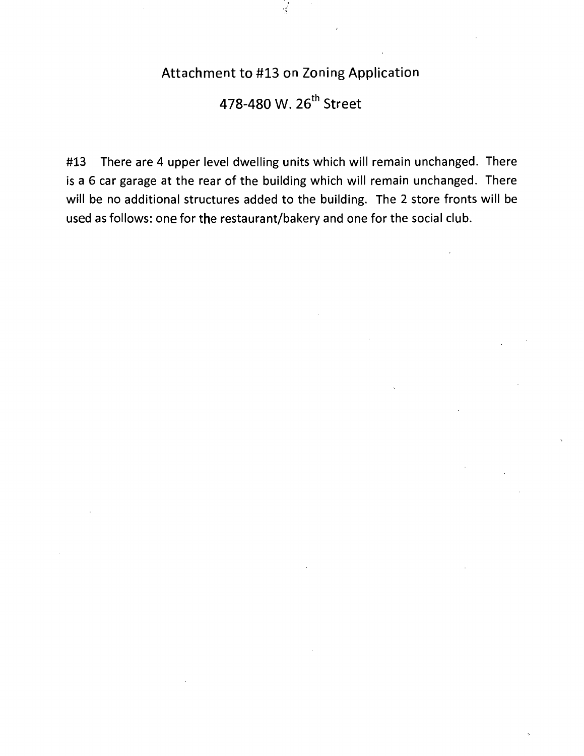## Attachment to #13 on Zoning Application

Ý

## 478-480 W. 26<sup>th</sup> Street

#13 There are 4 upper level dwelling units which will remain unchanged. There is a 6 car garage at the rear of the building which will remain unchanged. There will be no additional structures added to the building. The 2 store fronts will be used as follows: one for the restaurant/bakery and one for the social club.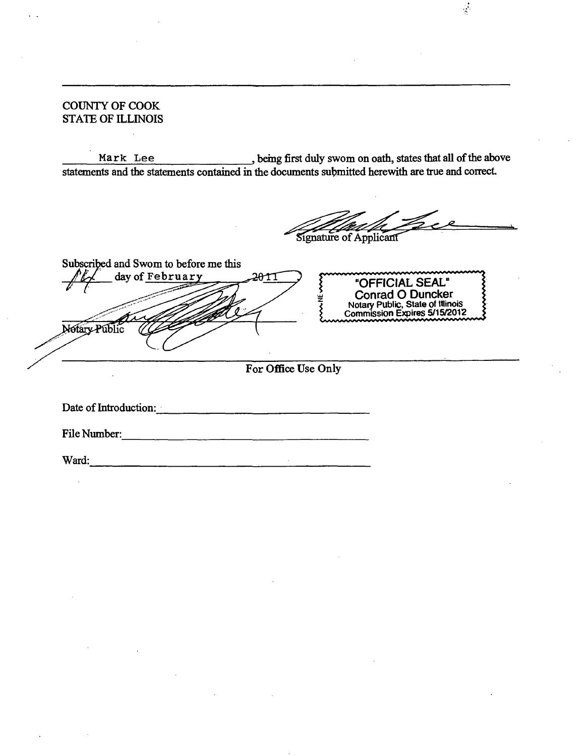## **COUNTY OF COOK STATE OF ILLINOIS**

**Mark Lee \_, bemg first duly swom on oath, states that all of the above statements and the statements contained in the documents submitted herewith are true and correct** 

 $\frac{1}{2}$ 

**Signature of Applicant** 

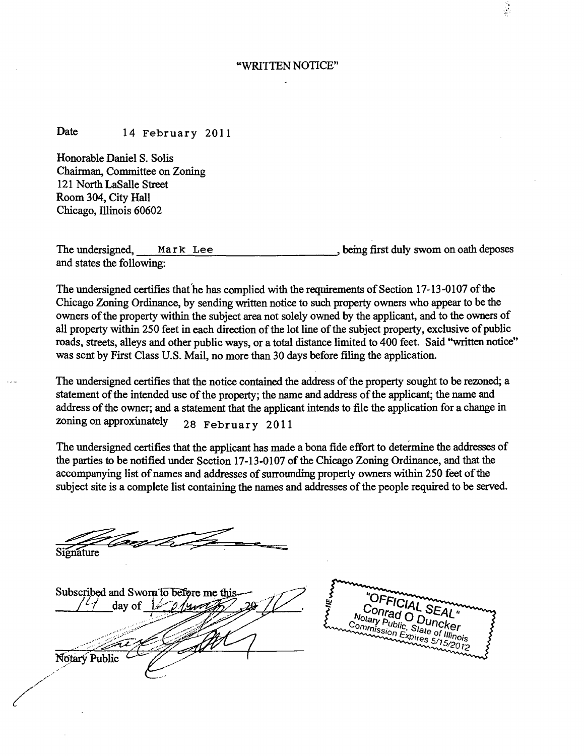#### **"WRITTEN NOTICE"**

## **Date 14 February 2011**

**Honorable Daniel S. Solis Chairman, Committee on Zoning**  121 North LaSalle Street **Room 304, City Hall Chicago, Illinois 60602** 

**The undersigned, Mark Lee and states the following: J bemg first duly swom on oath deposes** 

The undersigned certifies that he has complied with the requirements of Section 17-13-0107 of the **Chicago Zoning Ordinance, by sending written notice to such property owners who ^pear to be the owners of the property within the subject area not solely owned by the applicant, and to the owners of all property within 250 feet in each direction of the lot line of the subject property, exclusive of public roads, streets, alleys and other public ways, or a total distance liniited to 400 feet. Said "written notice" was sent by First Class U.S. Mail, no more than 30 days before filing the application.** 

**The undersigned certifies that the notice contained the address of the property sought to be rezoned; a**  statement of the intended use of the property; the name and address of the applicant; the name and address of the owner; and a statement that the applicant intends to file the application for a change in zoning on approximately  $28.5 \times 2011$ **zoning on approxunately 28 February 2011** 

**The undersigned certifies that the applicant has made a bona fide effort to determine the addresses of the parties to be notified under Section 17-13-0107 of the Chicago Zoning Ordinance, and that the**  accompanying list of names and addresses of surrounding property owners within 250 feet of the **subject site is a complete list containing the names and addresses of the people required to be served.** 

**Signature** 

**Subscribed and Sworn to before me this / y day of Notary Public** 

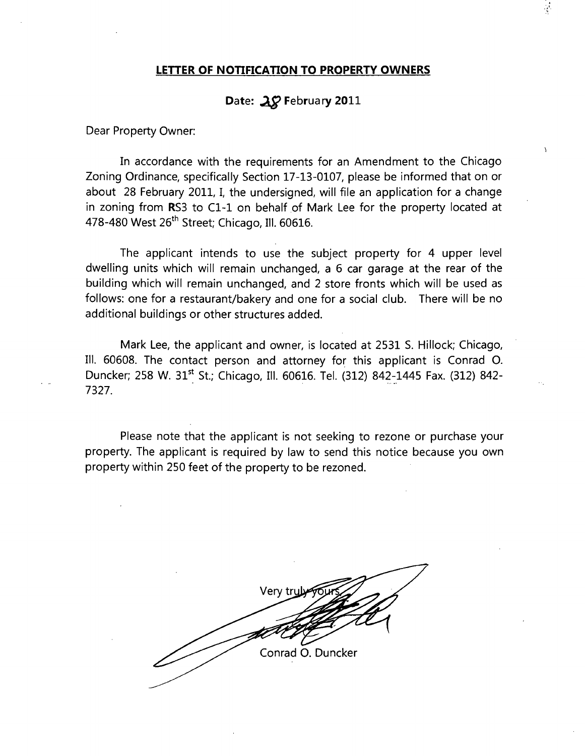### **LETTER OF NOTIFICATION TO PROPERTY OWNERS**

## Date: 28 February 2011

Dear Property Owner:

In accordance with the requirements for an Amendment to the Chicago Zoning Ordinance, specifically Section 17-13-0107, please be informed that on or about 28 February 2011, I, the undersigned, will file an application for a change in zoning from RS3 to Cl-1 on behalf of Mark Lee for the property located at 478-480 West 26<sup>th</sup> Street; Chicago, Ill. 60616.

 $\lambda$ 

The applicant intends to use the subject property for 4 upper level dwelling units which will remain unchanged, a 6 car garage at the rear of the building which will remain unchanged, and 2 store fronts which will be used as follows: one for a restaurant/bakery and one for a social club. There will be no additional buildings or other structures added.

Mark Lee, the applicant and owner, is located at 2531 S. Hillock; Chicago, III. 60608. The contact person and attorney for this applicant is Conrad O. Duncker; 258 W. 31'\* St.; Chicago, III. 60616. Tel. (312) 842-1445 Fax. (312) 842- 7327.

Please note that the applicant is not seeking to rezone or purchase your property. The applicant is required by law to send this notice because you own property within 250 feet of the property to be rezoned.

Very try Conrad O. Duncker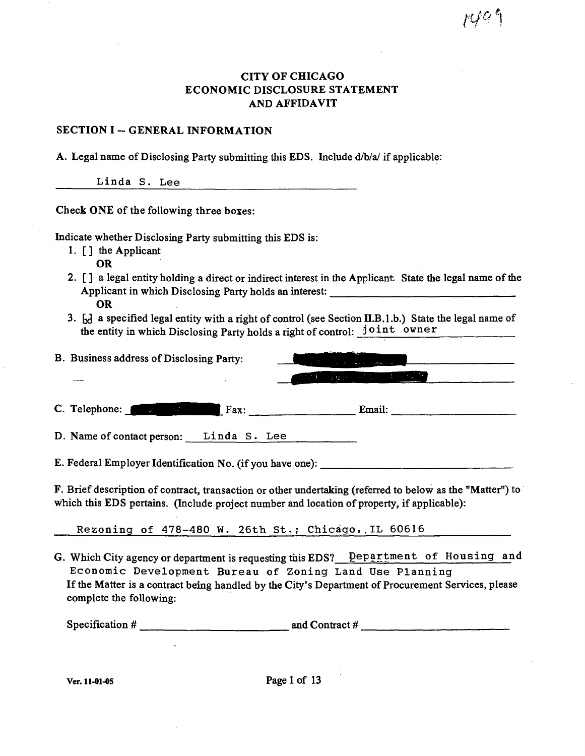## f C

## **CITY OF CHICAGO ECONOMIC DISCLOSURE STATEMENT AND AFFIDAVIT**

## **SECTION I -- GENERAL INFORMATION**

A. Legal name of Disclosing Party submitting this EDS. Include d/b/a/ if applicable:

Linda S. Lee

Check ONE of the following three boxes:

Indicate whether Disclosing Party submitting this EDS is:

- 1.  $\lceil \cdot \rceil$  the Applicant
	- OR
- 2. [] a legal entity holding a direct or indirect interest in the Applicant State the legal name of the Applicant in which Disclosing Party holds an interest: OR
- 3. [x] a specified legal entity with a right of control (see Section II.B.1.b.) State the legal name of the entity in which Disclosing Party holds a right of control: joint owner

| B. Business address of Disclosing Party: |                                         |                                   |
|------------------------------------------|-----------------------------------------|-----------------------------------|
|                                          | $\mathcal{L}^{\text{max}}_{\text{max}}$ | <u> Angele av Stadt i British</u> |
| C. Telephone: The C. Pax:                |                                         | Email:                            |
| D. Name of contact person: Linda S. Lee  |                                         |                                   |

E. Federal Employer Identification No. (if you have one):

F. Brief description of contract, transaction or other undertaking (referred to below as the "Matter") to which this EDS pertains. (Include project number and location of property, if applicable):

Rezoning of 478-480 W. 26th St.; Chicago, IL 60616

G. Which City agency or department is requesting this EDS? Department of Housing and Economic Development Bureau of Zoning Land Use Planning If the Matter is a contract being handled by the City's Department of Procurement Services, please complete the following:

| Specification # | and Contract # |
|-----------------|----------------|
|-----------------|----------------|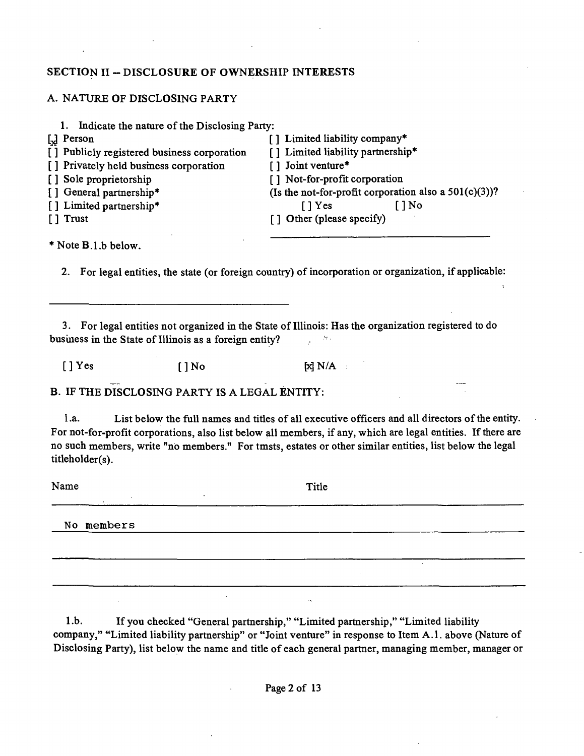## **SECTION II - DISCLOSURE OF OWNERSHIP INTERESTS**

## A. NATURE OF DISCLOSING PARTY

| Indicate the nature of the Disclosing Party: |                                                          |
|----------------------------------------------|----------------------------------------------------------|
| [ <sub>x</sub> ] Person                      | [] Limited liability company*                            |
| [] Publicly registered business corporation  | [] Limited liability partnership*                        |
| [] Privately held business corporation       | [] Joint venture*                                        |
| [] Sole proprietorship                       | [] Not-for-profit corporation                            |
| [] General partnership*                      | (Is the not-for-profit corporation also a $501(c)(3)$ )? |
| [] Limited partnership*                      | [ ] No<br>1Yes                                           |
| [] Trust                                     | [] Other (please specify)                                |
|                                              |                                                          |

\* Note B.l.b below.

2. For legal entities, the state (or foreign country) of incorporation or organization, if applicable:

3. For legal entities not organized in the State of Illinois: Has the organization registered to do business in the State of Illinois as a foreign entity? i<br>a  $\mathcal{H}_{\mathcal{C}}$ 

 $[$  ] Yes  $[$  ] No  $[$   $\boxtimes$  N/A  $\therefore$ 

B. IF THE DISCLOSING PARTY IS A LEGAL ENTITY:

l.a. List below the full names and titles of all executive officers and all directors of the entity. For not-for-profit corporations, also list below all members, if any, which are legal entities. If there are no such members, write "no members." For tmsts, estates or other similar entities, list below the legal titleholder(s).

Name Title and the second service of the service of the service of the service of the service of the service of the service of the service of the service of the service of the service of the service of the service of the s

No members

1 .b. If you checked "General partnership," "Limited partnership," "Limited liability company," "Limited liability partnership" or "Joint venture" in response to Item A.l . above (Nature of Disclosing Party), list below the name and title of each general partaer, managing member, manager or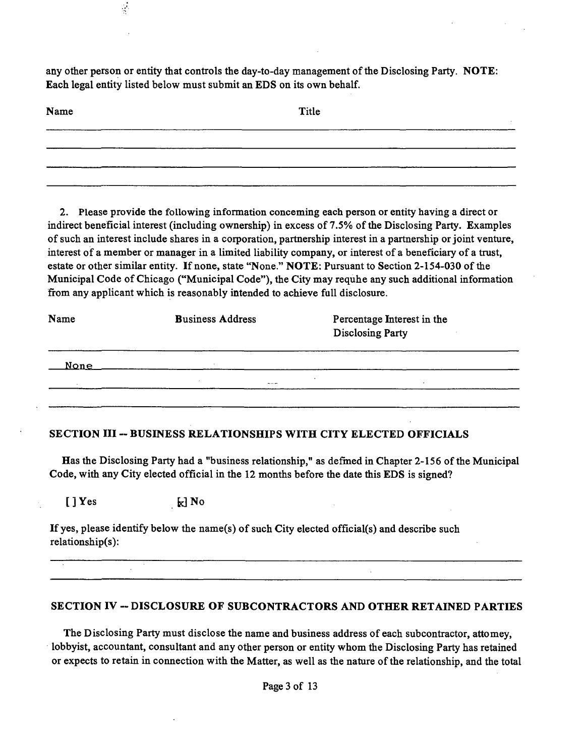any other person or entity that controls the day-to-day management of the Disclosing Party. NOTE: Each legal entity listed below must submit an EDS on its own behalf.

| Name | Title |  |
|------|-------|--|
|      |       |  |
|      |       |  |

2. Please provide the following information conceming each person or entity having a direct or indirect beneficial interest (including ownership) in excess of 7.5% of the Disclosing Party. Examples of such an interest include shares in a corporation, partnership interest in a partnership or joint venture, interest of a member or manager in a limited liability company, or interest of a beneficiary of a trust, estate or other similar entity. If none, state "None." NOTE: Pursuant to Section 2-154-030 of the Municipal Code of Chicago ("Municipal Code"), the City may requhe any such additional information firom any applicant which is reasonably intended to achieve full disclosure.

| Name        | <b>Business Address</b> | Percentage Interest in the<br><b>Disclosing Party</b> |
|-------------|-------------------------|-------------------------------------------------------|
| <u>None</u> |                         |                                                       |
| $\sim$      | 1.11                    |                                                       |
|             |                         |                                                       |

## **SECTION III - BUSINESS RELATIONSHIPS WITH CITY ELECTED OFFICIALS**

Has the Disclosing Party had a "business relationship," as defmed in Chapter 2-156 of the Municipal Code, with any City elected official in the 12 months before the date this EDS is signed?

 $[ ] Yes$   $\qquad \qquad$   $\qquad$   $\qquad$   $\qquad$  No

 $\frac{1}{2}$ 

If yes, please identify below the name(s) of such City elected official(s) and describe such relationship(s):

## **SECTION IV - DISCLOSURE OF SUBCONTRACTORS AND OTHER RETAINED PARTIES**

 $\mathcal{L}$ 

The Disclosing Party must disclose the name and business address of each subcontractor, attomey, lobbyist, accountant, consultant and any other person or entity whom the Disclosing Party has retained or expects to retain in connection with the Matter, as well as the nature of the relationship, and the total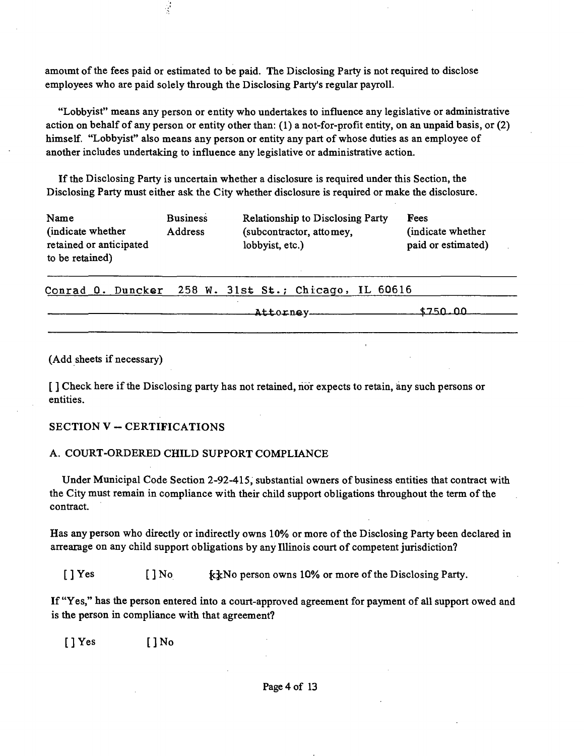amoumt of the fees paid or estimated to be paid. The Disclosing Party is not required to disclose employees who are paid solely through the Disclosing Party's regular payroll.

Ý

"Lobbyist" means any person or entity who undertakes to influence any legislative or administrative action on behalf of any person or entity other than: (1) a not-for-profit entity, on an unpaid basis, or (2) himself. "Lobbyist" also means any person or entity any part of whose duties as an employee of another includes undertaking to influence any legislative or administrative action.

If the Disclosing Party is uncertain whether a disclosure is required under this Section, the Disclosing Party must either ask the City whether disclosure is required or make the disclosure.

| Name                    | <b>Business</b> | <b>Relationship to Disclosing Party</b> | Fees               |
|-------------------------|-----------------|-----------------------------------------|--------------------|
| (indicate whether)      | <b>Address</b>  | (subcontractor, attomey,                | indicate whether   |
| retained or anticipated |                 | lobbyist, etc.)                         | paid or estimated) |
| to be retained)         |                 |                                         |                    |

Conrad 0. Duncker 258 W. 31st St.; Chicago, IL 60616

| \$750.00<br>Attorney |  |
|----------------------|--|
|                      |  |
|                      |  |

(Add sheets if necessary)

[] Check here if the Disclosing party has not retained, nor expects to retain, any such persons or entities.

## **SECTION V - CERTIFICATIONS**

## A. COURT-ORDERED CHILD SUPPORT COMPLIANCE

Under Municipal Code Section 2-92-415, substantial owners of business entities that contract with the City must remain in compliance with their child support obligations throughout the term of the contract.

Has any person who directly or indirectly owns 10% or more of the Disclosing Party been declared in arrearage on any child support obligations by any Illinois court of competent jurisdiction?

[ ] Yes [ ] No {c^fNo person owns 10% or more of the Disclosing Party.

If "Yes," has the person entered into a court-approved agreement for payment of all support owed and is the person in compliance with that agreement?

 $[$  ] Yes  $[$  ] No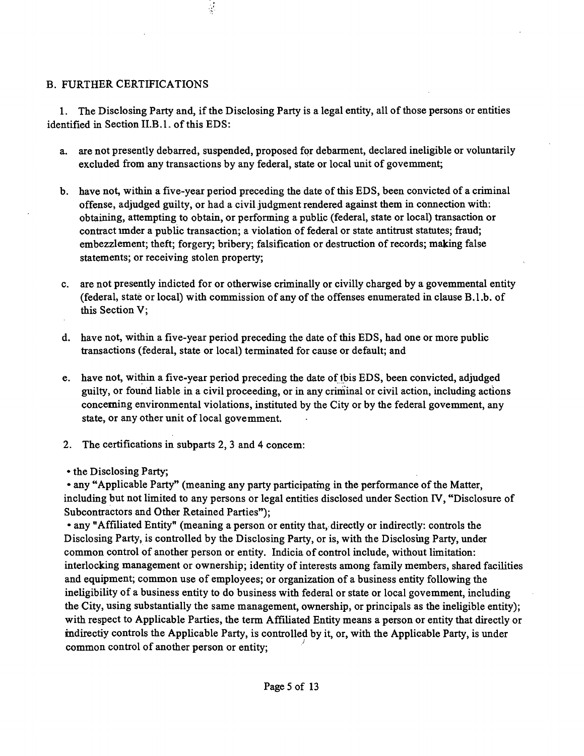## B. FURTHER CERTIFICATIONS

1. The Disclosing Party and, if the Disclosing Party is a legal entity, all of those persons or entities identified in Section II.B.1. of this EDS:

 $\frac{1}{2}$ 

- a. are not presently debarred, suspended, proposed for debarment, declared ineligible or voluntarily excluded from any transactions by any federal, state or local unit of govemment;
- b. have not, within a five-year period preceding the date of this EDS, been convicted of a criminal offense, adjudged guilty, or had a civil judgment rendered against them in connection with; obtaining, attempting to obtain, or perfonning a pubUc (federal, state or local) transaction or contract imder a public transaction; a violation of federal or state antitrust statutes; fraud; embezzlement; theft; forgery; bribery; falsification or destruction of records; making false statements; or receiving stolen property;
- c. are not presently indicted for or otherwise criminally or civilly charged by a govemmental entity (federal, state or local) with commission of any of the offenses enumerated in clause B.l.b. of this Section V;
- d. have not, within a five-year period preceding the date of this EDS, had one or more public transactions (federal, state or local) terminated for cause or default; and
- e. have not, within a five-year period preceding the date of tbis EDS, been convicted, adjudged guilty, or found liable in a civil proceeding, or in any criminal or civil action, including actions concerning environmental violations, instituted by the City or by the federal govemment, any state, or any other unit of local govemment.
- 2. The certifications in subparts 2, 3 and 4 concem:
- the Disclosing Party;

• any "Applicable Party" (meaning any party participatmg in the performance of the Matter, including but not limited to any persons or legal entities disclosed under Section FV, "Disclosure of Subcontractors and Other Retained Parties");

• any "Affiliated Entity" (meaning a person or entity that, directly or indirectly: controls the Disclosing Party, is controlled by the Disclosing Party, or is, with the Disclosuig Party, under common control of another person or entity. Indicia of control include, without limitation: interlocking management or ownership; identity of interests among family members, shared facilities and equipment; common use of employees; or organization of a business entity following the ineligibility of a business entity to do business with federal or state or local govemment, including the City, using substantially the same management, ownership, or principals as the ineligible entity); with respect to Applicable Parties, the term Affiliated Entity means a person or entity that directly or indirectiy controls the Applicable Party, is controlled by it, or, with the Applicable Party, is under common control of another person or entity;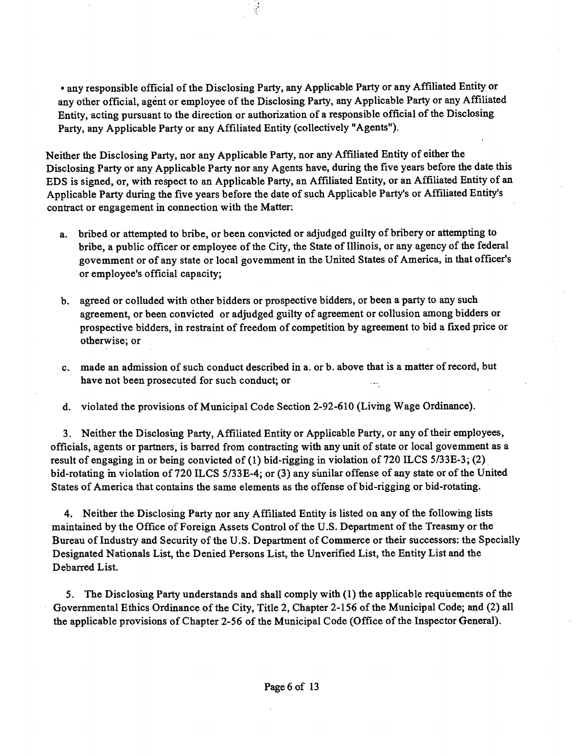• any responsible official of the Disclosing Party, any Applicable Party or any Affiliated Entity or any other official, agent or employee of the Disclosing Party, any Applicable Party or any Affiliated Entity, acting pursuant to the direction or authorization of a responsible official of the Disclosing Party, any Applicable Party or any Affiliated Entity (collectively "Agents").

Neither the Disclosing Party, nor any Applicable Party, nor any Affiliated Entity of either the Disclosing Party or any Applicable Party nor any Agents have, during the five years before the date this EDS is signed, or, with respect to an Applicable Party, an Affiliated Entity, or an Affiliated Entity of an Applicable Party during the five years before the date of such Applicable Party's or Affiliated Entity's contract or engagement in connection with the Matter:

- a. bribed or attempted to bribe, or been convicted or adjudged guilty of bribery or attempting to bribe, a public officer or employee of the City, the State of Illinois, or any agency of the federal govemment or of any state or local govemment in the United States of America, in that officer's or employee's official capacity;
- b. agreed or colluded with other bidders or prospective bidders, or been a party to any such agreement, or been convicted or adjudged guilty of agreement or collusion among bidders or prospective bidders, in restraint of freedom of competition by agreement to bid a fixed price or otherwise; or
- c. made an admission of such conduct described in a. or b. above that is a matter of record, but have not been prosecuted for such conduct; or
- d. violated the provisions of Municipal Code Section 2-92-610 (Livmg Wage Ordinance).

3. Neither the Disclosuig Party, Affiliated Entity or Applicable Party, or any of their employees, officials, agents or partners, is barred from contracting with any unit of state or local govemment as a result of engaging in or being convicted of (1) bid-rigging in violation of 720 ILCS 5/33E-3; (2) bid-rotating in violation of 720 ILCS 5/33E-4; or (3) any sunilar offense of any state or of the United States of America that contains the same elements as the offense of bid-rigging or bid-rotating.

4. Neither the Disclosing Party nor any Affiliated Entity is listed on any of the followmg lists maintained by the Office of Foreign Assets Control of the U.S. Department of the Treasmy or the Bureau of Industry and Security of the U.S. Department of Commerce or their successors: the Specially Designated Nationals List, the Denied Persons List, the Unverified List, the Entity List and the Debarred List.

5. The Disclosuig Party understands and shall comply with  $(1)$  the applicable requiements of the Governmental Ethics Ordinance of the City, Title 2, Chapter 2-156 of the Municipal Code; and (2) all the applicable provisions of Chapter 2-56 of the Municipal Code (Office of the Inspector General).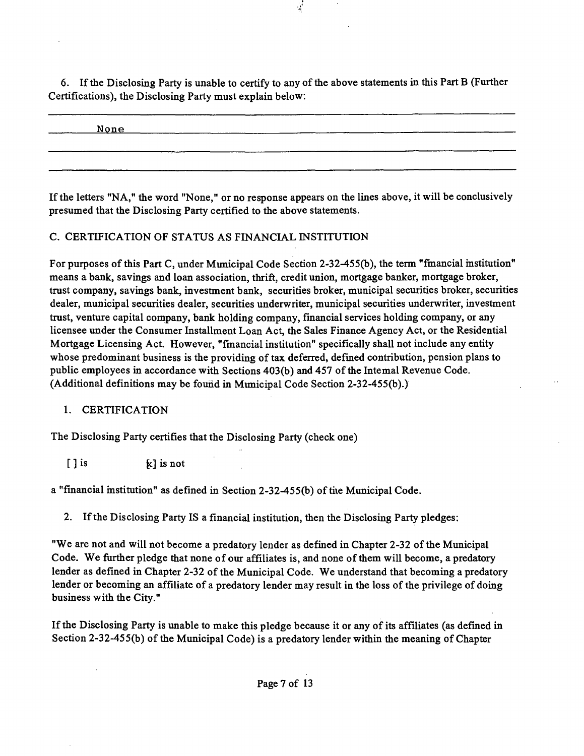6. If the Disclosing Party is unable to certify to any of the above statements in this Part B (Further Certifications), the Disclosing Party must explain below:

None ^

If the letters "NA," the word "None," or no response appears on the lines above, it will be conclusively presumed that the Disclosing Party certified to the above statements.

## C. CERTIFICATION OF STATUS AS FINANCIAL INSTITUTION

For purposes ofthis Part C, under Mimicipal Code Section 2-32-455(b), the term "fmancial mstitution" means a bank, savings and loan association, thrift, credit union, mortgage banker, mortgage broker, trast company, savings bank, investment bank, securities broker, municipal securities broker, securities dealer, municipal securities dealer, securities underwriter, municipal securities underwriter, investment trast, venture capital cornpany, bank holding company, financial services holding company, or any licensee under the Consumer Installment Loan Act, the Sales Finance Agency Act, or the Residential Mortgage Licensing Act. However, "fmancial institution" specifically shall not include any entity whose predominant business is the providing of tax deferred, defined contribution, pension plans to public employees in accordance with Sections 403(b) and 457 of the Intemal Revenue Code. (Additional definitions may be found in Mimicipal Code Section 2-32-455(b).)

## 1. CERTIFICATION

The Disclosing Party certifies that the Disclosing Party (check one)

 $[ ]$  is  $[ ]$  is not

a "financial institution" as defined in Section 2-32-455(b) of tiie Municipal Code.

2. Ifthe Disclosing Party IS a financial institution, then the Disclosing Party pledges:

"We are not and will not become a predatory lender as defined in Chapter 2-32 of the Municipal Code. We further pledge that none of our affiliates is, and none of them will become, a predatory lender as defined in Chapter 2-32 of the Municipal Code. We understand that becoming a predatory lender or becoming an affiliate of a predatory lender may result in the loss of the privilege of doing business with the City."

If the Disclosing Party is unable to make this pledge because it or any of its affiliates (as defined in Section 2-32-455(b) of the Municipal Code) is a predatory lender within the meaning of Chapter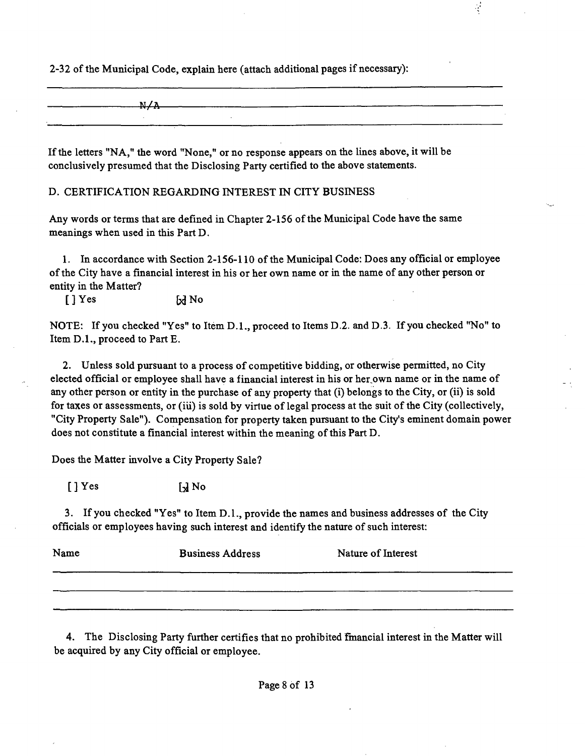2-32 of the Municipal Code, explain here (attach additional pages if necessary):

 $N/A$ 

Ç

If the letters "NA," the word "None," or no response appears on the lines above, it will be conclusively presumed that the Disclosing Party certified to the above statements.

D. CERTIFICATION REGARDING INTEREST IN CITY BUSINESS

Any words or terms that are defined in Chapter 2-156 of the Municipal Code have the same meanings when used in this Part D.

1. In accordance with Section 2-156-110 of the Municipal Code: Does any official or employee of the City have a financial interest in his or her own name or in the name of any other person or entity in the Matter?

 $[$   $]$   $Y$ es  $\qquad$   $\qquad$   $\qquad$   $\qquad$   $\qquad$   $\qquad$   $\qquad$   $\qquad$   $\qquad$   $\qquad$   $\qquad$   $\qquad$   $\qquad$   $\qquad$   $\qquad$   $\qquad$   $\qquad$   $\qquad$   $\qquad$   $\qquad$   $\qquad$   $\qquad$   $\qquad$   $\qquad$   $\qquad$   $\qquad$   $\qquad$   $\qquad$   $\qquad$   $\qquad$   $\qquad$   $\qquad$   $\qquad$   $\qquad$   $\q$ 

NOTE: If you checked "Yes" to Item D.L, proceed to Items D.2. and D.3. If you checked "No" to Item D.L, proceed to Part E.

2. Unless sold pursuant to a process of competitive bidding, or otherwise permitted, no City elected official or employee shall have a financial interest in his or her.own name or in the name of any other person or entity in the purchase of any property that (i) belongs to the City, or (ii) is sold for taxes or assessments, or (iu) is sold by virtue of legal process at the suit of the City (collectively, "City Property Sale"). Compensation for property taken pursuant to the City's eminent domain power does not constitute a financial interest within the meaning of this Part D.

Does the Matter involve a City Property Sale?

 $\begin{bmatrix} \end{bmatrix}$  Yes  $\begin{bmatrix} \end{bmatrix}$  No

3. If you checked "Yes" to Item D.l. , provide the names and business addresses of the City officials or employees having such interest and identify the nature of such interest:

| Name | <b>Business Address</b> | Nature of Interest |
|------|-------------------------|--------------------|
|      |                         |                    |
|      |                         | ____               |

4. The Disclosing Party further certifies that no prohibited fmancial interest in the Matter will be acquired by any City official or employee.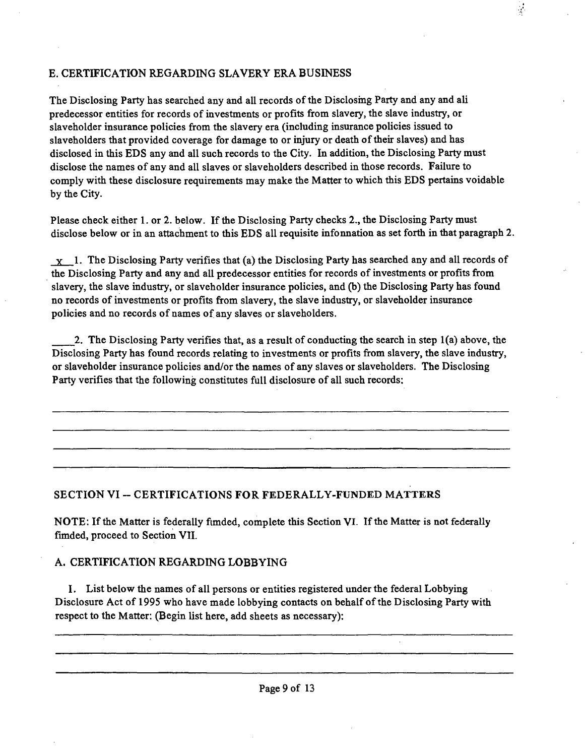## E. CERTIFICATION REGARDING SLAVERY ERA BUSINESS

The Disclosing Party has searched any and all records of the Disclosing Party and any and all predecessor entities for records of investments or profits from slavery, the slave industry, or slaveholder insurance policies from the slavery era (including insurance policies issued to slaveholders that provided coverage for damage to or injury or death of their slaves) and has disclosed in this EDS any and all such records to the City. In addition, the Disclosing Party must disclose the names of any and all slaves or slaveholders described in those records. Failure to comply with these disclosure requirements may make the Matter to which this EDS pertains voidable by the City.

 $\frac{1}{2}$ 

Please check either 1. or 2. below. If the Disclosing Party checks 2., the Disclosing Party must disclose below or in an attachment to this EDS all requisite infonnation as set forth in that paragraph 2.

 $x_1$ . The Disclosing Party verifies that (a) the Disclosing Party has searched any and all records of the Disclosing Party and any and all predecessor entities for records of investments or profits from slavery, the slave industry, or slaveholder insurance policies, and (b) the Disclosing Party has found no records of investments or profits from slavery, the slave industry, or slaveholder insurance policies and no records of names of any slaves or slaveholders.

2. The Disclosing Party verifies that, as a result of conducting the search in step 1(a) above, the Disclosing Party has found records relating to investments or profits from slavery, the slave industry, or slaveholder insurance policies and/or the names of any slaves or slaveholders. The Disclosing Party verifies that the following constitutes full disclosure of all such records:

## SECTION VI -- CERTIFICATIONS FOR FEDERALLY-FUNDED MATTERS

NOTE: If the Matter is federally fimded, complete this Section VI. If the Matter is not federally fimded, proceed to Section VII.

## A. CERTIFICATION REGARDING LOBBYING

I. List below the names of all persons or entities registered under the federal Lobbying Disclosure Act of 1995 who have made lobbying contacts on behalf of the Disclosing Party with respect to the Matter: (Begin list here, add sheets as necessary):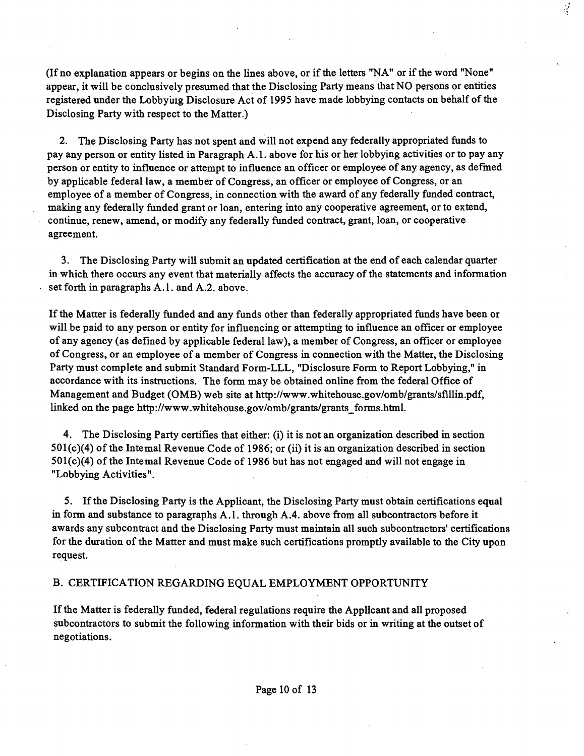(If no explanation appears or begins on the lines above, or if the letters "NA" or if the word "None" appear, it will be conclusively presumed that the Disclosing Party means that NO persons or entities registered under the Lobbyuig Disclosure Act of 1995 have made lobbying contacts on behalf of the Disclosing Party with respect to the Matter.)

 $\frac{1}{\sqrt{2}}$ 

2. The Disclosing Party has not spent and will not expend any federally appropriated funds to pay any person or entity listed in Paragraph A. 1. above for his or her lobbying activities or to pay any person or entity to influence or attempt to influence an officer or employee of any agency, as defmed by applicable federal law, a member of Congress, an officer or employee of Congress, or an employee of a member of Congress, in connection with the award of any federally funded contract, making any federally funded grant or loan, entering into any cooperative agreement, or to extend, continue, renew, amend, or modify any federally funded contract, grant, loan, or cooperative agreement.

3. The Disclosing Party wiU submit an updated certification at the end of each calendar quarter in which there occurs any event that materially affects the accuracy of the statements and information set forth in paragraphs A.l . and A.2. above.

If the Matter is federally funded and any funds other than federally appropriated funds have been or will be paid to any person or entity for influencing or attempting to influence an officer or employee of any agency (as defined by applicable federal law), a member of Congress, an officer or employee of Congress, or an employee of a member of Congress in connection with the Matter, the Disclosing Party must complete and submit Standard Form-LLL, "Disclosure Form to Report Lobbying," in accordance with its instructions. The form may be obtained online from the federal Office of Management and Budget (OMB) web site at http://www.whitehouse.gov/omb/grants/sflllin.pdf, linked on the page http://www.whitehouse.gov/omb/grants/grants\_forms.html.

4. The Disclosing Party certifies that either: (i) it is not an organization described in section  $501(c)(4)$  of the Intemal Revenue Code of 1986; or (ii) it is an organization described in section  $501(c)(4)$  of the Intemal Revenue Code of 1986 but has not engaged and will not engage in "Lobbying Activities".

5. Ifthe Disclosing Party is the Applicant, the Disclosing Party must obtain certifications equal in form and substance to paragraphs A.l . through A.4. above from all subcontractors before it awards any subcontract and the Disclosing Party must maintain all such subcontractors' certifications for the duration of the Matter and must make such certifications promptly available to the City upon request.

#### B. CERTIFICATION REGARDING EQUAL EMPLOYMENT OPPORTUNITY

Ifthe Matter is federally funded, federal regulations require the AppUcant and all proposed subcontractors to submit the following information with their bids or in writing at the outset of negotiations.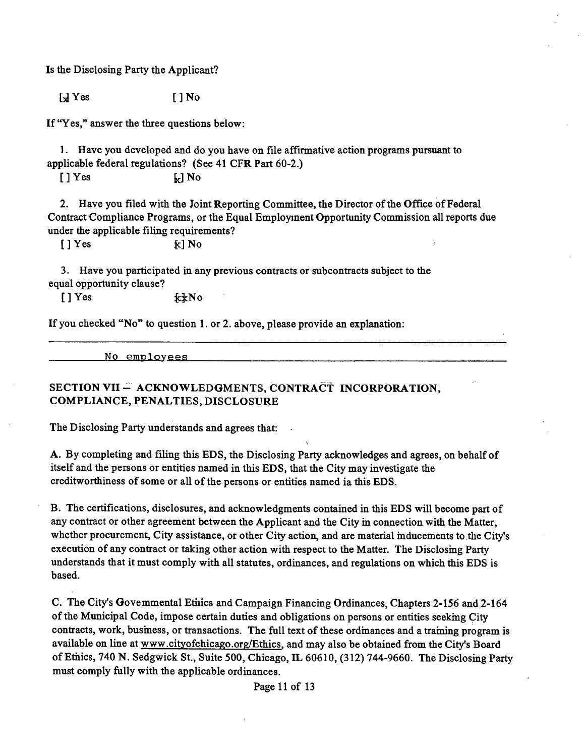Is the Disclosing Party the Applicant?

 $\begin{bmatrix} \frac{1}{2} & \text{Yes} \end{bmatrix}$  [ ] No

If "Yes," answer the three questions below:

1. Have you developed and do you have on file affirmative action programs pursuant to applicable federal regulations? (See 41 CFR Part 60-2.)

 $\lceil \cdot \rceil$  Yes  $\lceil \cdot \rceil$  No

2. Have you filed with the Joint Reporting Committee, the Director of the Office of Federal Contract Compliance Programs, or the Equal Employment Opportunity Commission all reports due under the applicable filing requirements?

 $\begin{bmatrix} \end{bmatrix}$  Yes  $\begin{bmatrix} \kappa \end{bmatrix}$  No  $\begin{bmatrix} \end{bmatrix}$ 

3. Have you participated in any previous contracts or subcontracts subject to the equal opportunity clause?

 $[ ] Yes$   $\kappa xNo$ 

If you checked "No" to question 1. or 2. above, please provide an explanation:

No employees

## SECTION VII - ACKNOWLEDGMENTS, CONTRACT INCORPORATION, **COMPLIANCE, PENALTIES, DISCLOSURE**

The Disclosing Party understands and agrees that:

A. By completing and filing this EDS, the Disclosing Party acknowledges and agrees, on behalf of itself and the persons or entities named in this EDS, that the City may investigate the creditworthiness of some or all of the persons or entities named ia this EDS.

B. The certifications, disclosures, and acknowledgments contained in this EDS will become part of any contract or other agreement between the Applicant and the City m connection with the Matter, whether procurement, City assistance, or other City action, and are material inducements to the City's execution of any contract or taking other action with respect to the Matter. The Disclosmg Party understands that it must comply with all statutes, ordinances, and regulations on which this EDS is based.

C. The City's Govemmental Etiiics and Campaign Financing Ordinances, Chapters 2-156 and 2-164 of the Municipal Code, impose certain duties and obligations on persons or entities seeking City contracts, work, busmess, or transactions. The full text of these ordmances and a traming program is available on line at www.cityofchicago.org/Ethics, and may also be obtained from the City's Board of Etiics, 740 N. Sedgwick St., Suite 500, Chicago, IL 60610, (312) 744-9660. The Disclosing Party must comply fully with the applicable ordinances.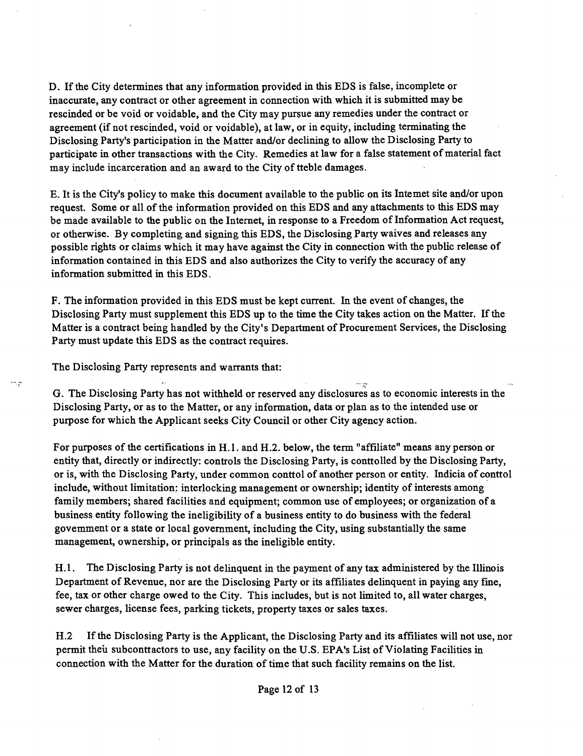D. If the City determines that any information provided in this EDS is false, incomplete or inaccurate, any contract or other agreement in connection with which it is submitted may be rescinded or be void or voidable, and the City may pursue any remedies under the contract or agreement (if not rescinded, void or voidable), at law, or in equity, including terminating the Disclosing Party's participation in the Matter and/or declining to allow the Disclosing Party to participate in other transactions with the City. Remedies at law for a false statement of material fact may include incarceration and an award to the City of tteble damages.

E. It is the City's policy to make this document available to the public on its Intemet site and/or upon request. Some or all of the information provided on this EDS and any attachments to this EDS may be made available to the public on the Internet, in response to a Freedom of Information Act request, or otherwise. By completing and signing this EDS, the Disclosing Party waives and releases any possible rights or claims which it may have against the City in connection with the public release of information contained in this EDS and also authorizes the City to verify the accuracy of any information submitted in this EDS.

F. The information provided in this EDS must be kept cunent. In the event of changes, the Disclosing Party must supplement this EDS up to the time the City takes action on the Matter. If the Matter is a contract being handled by the City's Department of Procurement Services, the Disclosing Party must update this EDS as the contract requires.

The Disclosing Party represents and warrants that:

÷.

G. The Disclosing Party has not withheld or reserved any disclosures as to economic interests in the Disclosing Party, or as to the Matter, or any information, data or plan as to the intended use or purpose for which the Applicant seeks City Council or other City agency action.

For purposes of the certifications in H.l . and H.2. below, the term "affiliate" means any person or entity that, directly or indirectly: controls the Disclosing Party, is conttolled by the Disclosing Party, or is, with the Disclosing Party, under common conttol of another person or entity. Indicia of conttol include, without limitation; interlocking management or ownership; identity of interests among family members; shared facilities and equipment; common use of employees; or organization of a business entity following the ineligibility of a business entity to do business with the federal govemment or a state or local government, including the City, using substantially the same management, ownership, or principals as the ineligible entity.

H.1. The Disclosing Party is not delinquent in the payment of any tax administered by the Illinois Department of Revenue, nor are the Disclosing Party or its affiliates delinquent in paying any fine, fee, tax or other charge owed to the City. This includes, but is not limited to, all water charges, sewer charges, license fees, parking tickets, property taxes or sales taxes.

H.2 If the Disclosing Party is the Applicant, the Disclosing Party and its affiliates will not use, nor permit theu subconttactors to use, any facility on the U.S. EPA's List of Violating Facilities in connection with the Matter for the duration of time that such facility remains on the list.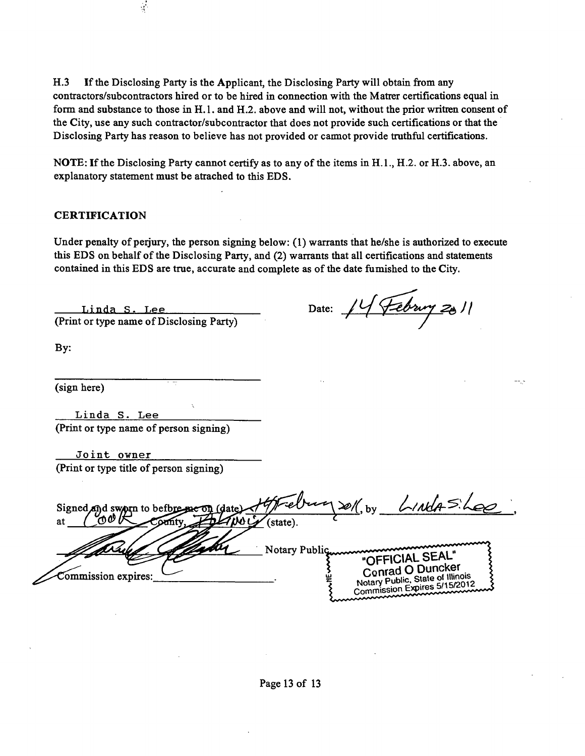H.3 If the Disclosing Party is the Applicant, the Disclosing Party will obtain from any **conttactors/subconttactors hired or to be hired in connection with the Matter certifications equal in form and substance to those in H.l. and H.2. above and will not, without the prior written consent of the City, use any such conttactor/subconttactor that does not provide such certifications or that the**  Disclosing Party has reason to believe has not provided or carmot provide truthful certifications.

**NOTE: If the Disclosing Party cannot certify as to any of the items in H.L, H.2. or H.3. above, an explanatory statement must be attached to this EDS.** 

#### **CERTIFICATION**

Under penalty of perjury, the person signing below: (1) warrants that he/she is authorized to execute **this EDS on behalf of the Disclosing Party, and (2) warrants that all certifications and statements**  contained in this EDS are true, accurate and complete as of the date fumished to the City.

**Linda S. Lee (Print or type name of Disclosing Party)** 

 $\frac{1}{2}$ 

Date:  $\frac{14}{100}$ 

**By:** 

**(sign here)** 

**Linda S. Lee (Print or type name of person signing)** 

**Joint ovner (Print or type title of person signing)** 

Frebury soll, by *LINUA*SiLee Signed and sworn to befbi **at**  Notary Public<br>"OFFICIAL SEAL" **Conrad O Duncker**<br>Notary Public, State of Illinois Commission expires: Notary Public, State of Hillburg<br>Commission Expires 5/15/2012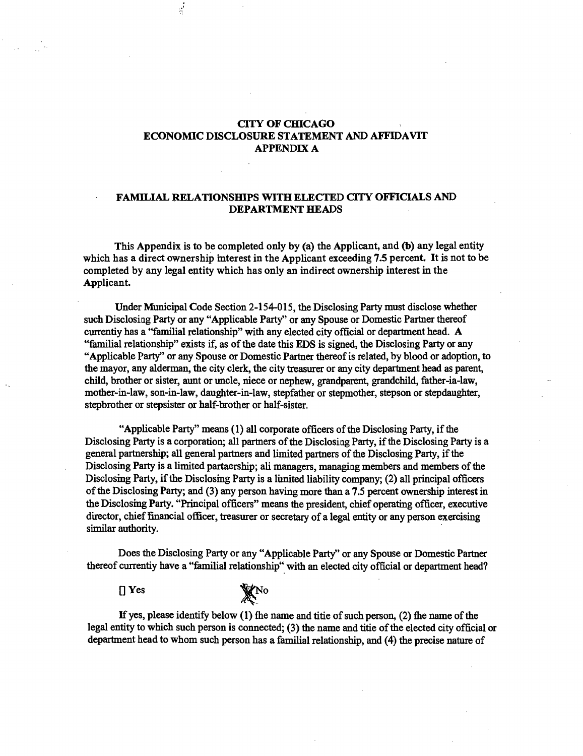## **CITY OF CHICAGO ECONOMIC DISCLOSURE STATEMENT AND AFFIDAVIT APPENDIX A**

 $\frac{1}{2}$ 

#### **FAMILIAL RELATIONSHIPS WITH ELECTED CITY OFFICIALS AND DEPARTMENT HEADS**

**This Appendix is to be completed only by (a) the Applicant, and (fo) any legal entity**  which has a direct ownership interest in the Applicant exceeding 7.5 percent. It is not to be **completed by any legal entity which has only an indirect ownership interest in the**  Applicant.

Under Municipal Code Section 2-154-015, the Disclosing Party must disclose whether such Disclosing Party or any "Applicable Party" or any Spouse or Domestic Partner thereof currentiy has a "familial relationship" with any elected city official or department head. A "familial relationship" exists if, as of the date this EDS is signed, the Disclosing Party or any "Applicable Party" or any Spouse or Domestic Partner thereof is related, by blood or adoption, to the mayor, any alderman, the city clerk, the city tteasurer or any city department head as parent child, brother or sister, aunt or uncle, niece or nephew, grandparent grandchild, father-ia-law, mother-in-law, son-in-law, daughter-in-law, stepfather or stepmother, stepson or stepdaughter, stepbrother or stepsister or half-brother or half-sister.

"Applicable Party" means (1) all corporate officers of the Disclosing Party, if the Disclosing Party is a corporation; all partners of the Disclosing Party, if the Disclosing Party is a general partnership; all general partners and limited partners of the Disclosmg Party, if the Disclosing Party is a limited partaership; ali managers, managing members and members of the Disclosing Party, if the Disclosing Party is a lunited liability company; (2) all principal officers of the Disclosing Party; and (3) any person having more than a 7.5 percent ownership interest in the Disclosing Party. "Principal officers" means the president, chief operating officer, executive director, chief financial officer, treasurer or secretary of a legal entity or any person exercising similar authority.

Does the Disclosing Party or any "Applicable Party" or any Spouse or Domestic Partner thereof currentiy have a "femilial relationship" with an elected city official or department head?

DYes

XNO

If yes, please identify below  $(1)$  fhe name and titie of such person,  $(2)$  fhe name of the legal entity to which such person is connected; (3) the name and titie of the elected city official or department head to whom such person has a familial relationship, and (4) the precise nature of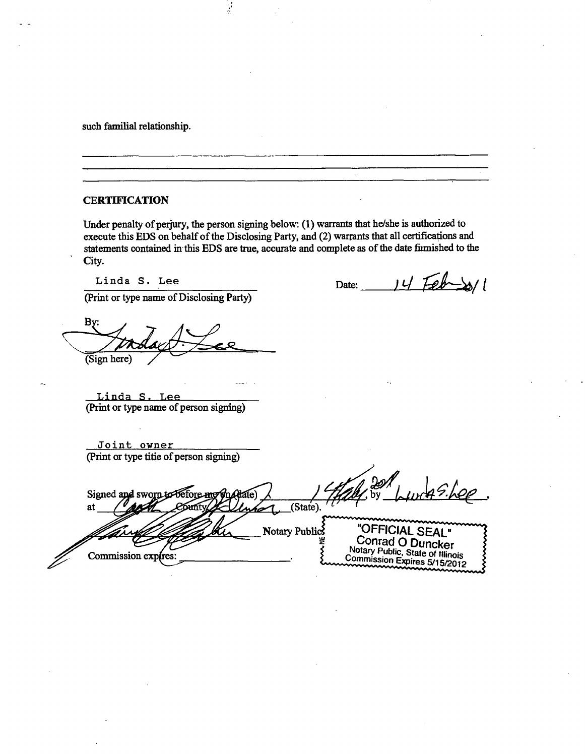such familial relationship.

### **CERTIFICATION**

Under penalty of perjury, the person signing below: (1) warrants that he/she is authorized to execute this EDS on behalf of the Disclosing Party, and (2) warrants that all certifications and statements contained in this EDS are true, accurate and complete as of the date firmished to the City.

i.

Linda S. Lee

Date:  $14$  Feb $\gg$ 

(Print or type name of Disclosing Party)

By: *(Sign here) /* 

Linda S. Lee (Print or type name of person signing)

Joint owner (Print or type titie of person signing)

 $m49 hee$ Signed and sworn to before me Atate at **ABM** County Kellwh 1. (State). Notary Publics "OFFICIAL SEAL" Conrad O Duncker Commission expires: Notary Public, State of Illinois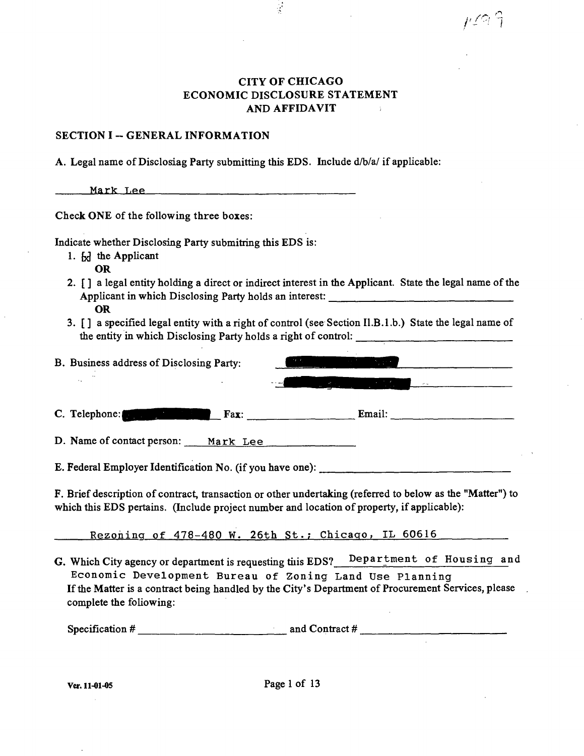## **CITY OF CHICAGO ECONOMIC DISCLOSURE STATEMENT AND AFFIDAVIT**

 $\frac{1}{2}$ 

*jy^-i 1* 

#### **SECTION I ~ GENERAL INFORMATION**

A. Legal name of Disclosiag Party submitting this EDS. Include d/b/a/ if applicable:

| Mark Lee |  |  |  |
|----------|--|--|--|
|          |  |  |  |

**Check ONE of the following three boxes:** 

Indicate whether Disclosing Party submitting this EDS is:

- 1.  $\lfloor x \rfloor$  the Applicant
	- OR
- 2. [ ] a legal entity holding a direct or indirect interest in the Applicant. State the legal name of the Applicant in which Disclosing Party holds an interest: OR
- 3. [ ] a specified legal entity with a right of conttol (see Section Il.B. 1 .b.) State the legal name of the entity in which Disclosing Party holds a right of control:

| B. Business address of Disclosing Party: |                                                                                                                                                           |
|------------------------------------------|-----------------------------------------------------------------------------------------------------------------------------------------------------------|
| ٠.                                       | $\mathcal{A}$ and $\mathcal{A}$ are the set of $\mathcal{A}$ and $\mathcal{A}$ are the set of $\mathcal{A}$<br>اید - -<br>$\mathcal{C}^{\mathcal{A}}$ and |
| C. Telephone:<br>Fax:                    | Email:                                                                                                                                                    |
|                                          |                                                                                                                                                           |

D. Name of contact person: Mark Lee

E. Federal Employer Identification No. (if you have one): \_\_\_\_\_\_\_\_\_\_\_\_\_\_\_\_\_\_\_\_\_\_

F. Brief description of contract, transaction or other undertaking (referred to below as the "Matter") to which this EDS pertains. (Include project number and location of property, if applicable):

Rezoning of 478-480 W. 26th St.; Chicago, IL 60616

G. Which City agency or department is requesting tiis EDS? Department of Housing and Economic Development Bureau of Zoning Land Use Planning If the Matter is a contract being handled by the City's Department of Procurement Services, please complete the following:

*Specification # and Conttact # ,*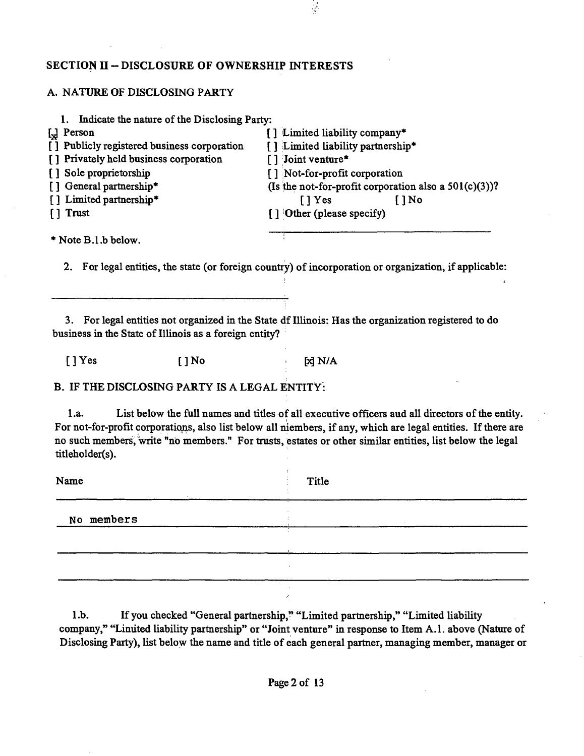## **SECTION II - DISCLOSURE OF OWNERSHIP INTERESTS**

## A. NATURE OF DISCLOSING PARTY

| 1. Indicate the nature of the Disclosing Party:                   |                                                          |
|-------------------------------------------------------------------|----------------------------------------------------------|
| $\left[\begin{matrix} 1 \\ \mathbf{X} \end{matrix}\right]$ Person | [] Limited liability company*                            |
| [] Publicly registered business corporation                       | [] Limited liability partnership*                        |
| [] Privately held business corporation                            | [] Joint venture*                                        |
| [] Sole proprietorship                                            | [] Not-for-profit corporation                            |
| [] General partnership*                                           | (Is the not-for-profit corporation also a $501(c)(3)$ )? |
| [] Limited partnership*                                           | $\lceil \cdot \rceil$ Yes<br>$1$ No                      |
| $\lceil \cdot \rceil$ Trust                                       | [] Other (please specify)                                |
| $*$ Note B.1, b below.                                            |                                                          |

 $\frac{1}{2}$ 

2. For legal entities, the state (or foreign country) of incorporation or organization, if applicable:

3. For legal entities not organized in the State df IlUnois: Has the organization registered to do business in the State of Illinois as a foreign entity?

*[]Yes []No ^WA* 

B. IF THE DISCLOSING PARTY IS A LEGAL ENTITY:

1 .a. List below the full names and titles of all executive officers aud all directors of the entity. For not-for-profit corporations, also list below all niembers, if any, which are legal entities. If there are no such members, write "no members." For trasts, estates or other similar entities, list below the legal titleholder(s).

| Name       | Title   |  |
|------------|---------|--|
| No members |         |  |
|            | ×.      |  |
|            |         |  |
|            | $\cdot$ |  |

1.b. If you checked "General partnership," "Limited partnership," "Limited liability company," "Linuted liability partnership" or "Joint venture" in response to Item A.1. above (Nature of Disclosing Party), list below the name and title of each general partner, managing member, manager or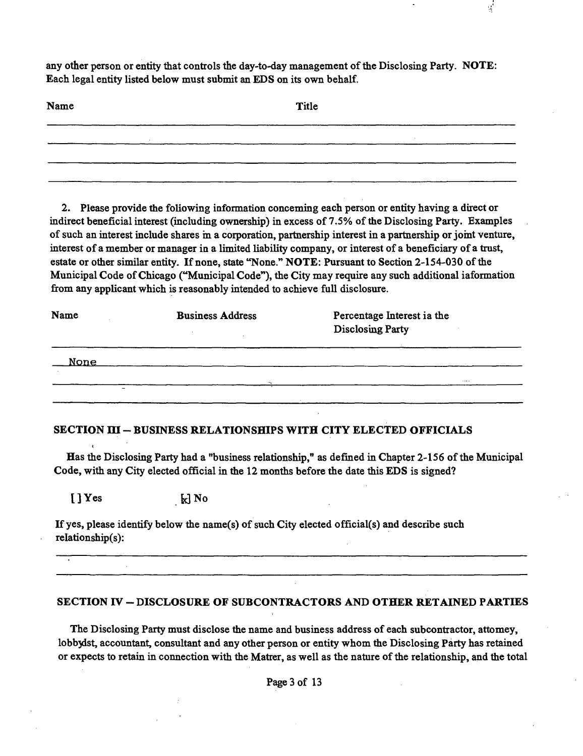any other person or entity that controls the day-to-day management of the Disclosing Party. NOTE: Each legal entity listed below must submit an EDS on its own behalf.

 $\frac{1}{\sqrt{2}}$ 

| Name | Title |
|------|-------|
|      |       |
|      |       |
|      |       |

2. Please provide the following information conceming each person or entity having a direct or indirect beneficial interest (including ownership) in excess of 7.5% of the Disclosing Party. Examples of such an interest include shares m a corporation, partaership interest in a partaership or jomt venture, interest of a member or manager in a limited liability company, or interest of a beneficiary of a trust, estate or other similar entity. If none, state "None." NOTE: Pursuant to Section 2-154-030 of the Municipal Code of Chicago ("Municipal Code"), the City may require any such additional iaformation from any applicant which is reasonably intended to achieve full disclosure.

| Name        | <b>Business Address</b> | Percentage Interest ia the<br><b>Disclosing Party</b> |  |
|-------------|-------------------------|-------------------------------------------------------|--|
| <u>None</u> |                         |                                                       |  |
| -           | 24                      | $\cdots$                                              |  |
|             |                         |                                                       |  |

## **SECTION ni - BUSINESS RELATIONSHIPS WITH CITY ELECTED OFFICIALS**

Has the Disclosing Party had a "business relationship," as defined in Chapter 2-156 of the Municipal Code, with any City elected official in the 12 months before the date this EDS is signed?

 $\left[\begin{array}{ccc} 0 & 0 \\ 0 & 0 \end{array}\right]$  Yes  $\left[\begin{array}{ccc} 0 & 0 \\ 0 & 0 \end{array}\right]$  No

If yes, please identify below the name(s) of such City elected official(s) and describe such reIationship(s):

## **SECTION IV - DISCLOSURE OF SUBCONTRACTORS AND OTHER RETAINED PARTIES**

The Disclosing Party must disclose the name and business address of each subcontractor, attomey, lobbydst, accountant, consultant and any other person or entity whom the Disclosing Party has retained or expects to retain in connection with the Matter, as well as the nature ofthe relationship, and the total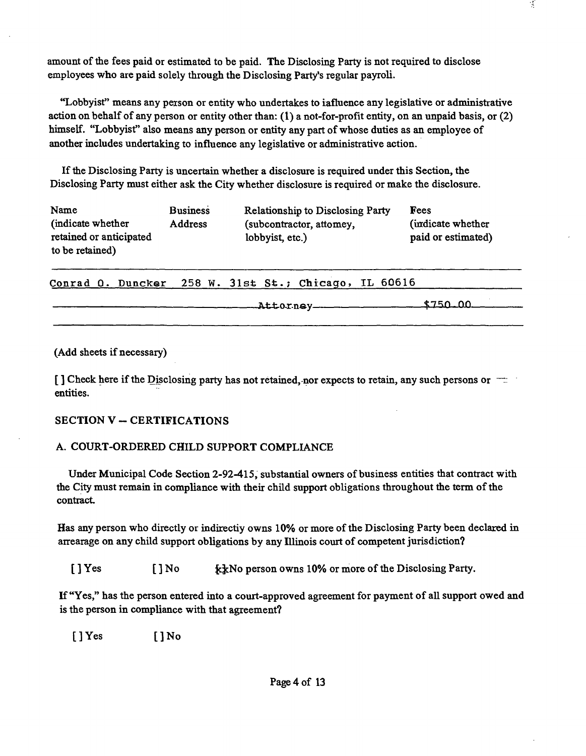amount of the fees paid or estimated to be paid. The Disclosing Party is not required to disclose employees who are paid solely through the Disclosing Party's regular payroli.

"Lobbyist" means any person or entity who undertakes to iafluence any legislative or administrative action on behalf of any person or entity other than: (1) a not-for-profit entity, on an unpaid basis, or (2) himself. "Lobbyist" also means any person or entity any part of whose duties as an employee of another includes undertaking to influence any legislative or administrative action.

Ifthe Disclosing Party is uncertain whether a disclosure is required under this Section, the Disclosing Party must either ask the City whether disclosure is required or make the disclosure.

| Name                    | <b>Business</b> | <b>Relationship to Disclosing Party</b> | Fees               |
|-------------------------|-----------------|-----------------------------------------|--------------------|
| (indicate whether)      | <b>Address</b>  | (subcontractor, attomey,                | (indicate whether) |
| retained or anticipated |                 | lobbyist, etc.)                         | paid or estimated) |
| to be retained)         |                 |                                         |                    |

Conrad O. Duncker 258 W. 31st St.; Chicago, IL 60616

ftttorney \$7^0 .00

(Add sheets if necessary)

[ ] Check here if the Disclosing party has not retained, nor expects to retain, any such persons or  $\pm$ entities.

## **SECTION V - CERTIFICATIONS**

## A. COURT-ORDERED CHILD SUPPORT COMPLIANCE

Under Municipal Code Section 2-92-415, substantial owners of business entities that contract with the City must remain in compliance with their child support obligations throughout the term of the contract

Has any person who directly or indirectiy owns 10% or more of the Disclosing Party been declared in arrearage on any child support obligations by any Illinois court of competent jurisdiction?

[ ] Yes [ ] No  $\kappa$ k No person owns 10% or more of the Disclosing Party.

If "Yes," has the person entered into a court-approved agreement for payment of all support owed and is the person in compliance with that agreement?

[]Yes []No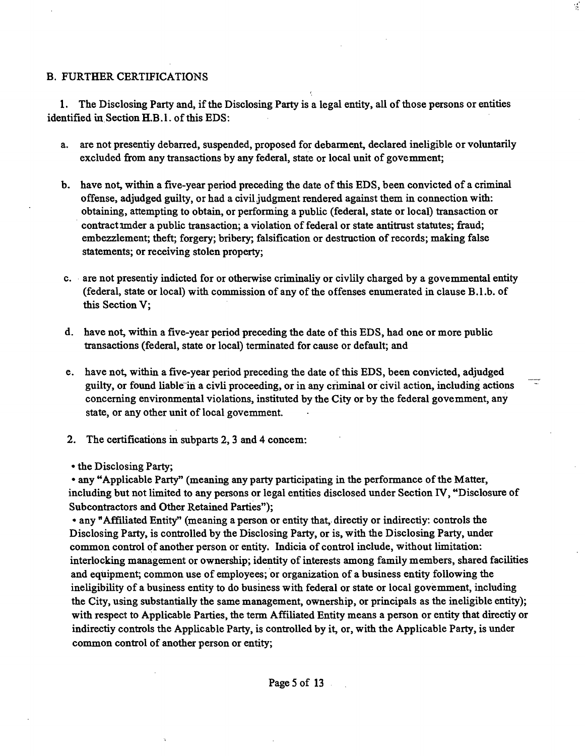## **B. FURTHER CERTIFICATIONS**

**1. The Disclosing Party and, if the Disclosing Party is a legal entity, all of those persons or entities**  identified in Section **H.B.1.** of this EDS:

**a. are not presentiy debarred, suspended, proposed for debarment declared ineligible or voluntarily excluded from any transactions by any federal, state or local unit of govemment;** 

 $\mathcal{L}$ 

- **b. have not within a five-year period preceding the date of this EDS, been convicted of a criminal offense, adjudged guilty, or had a civil judgment rendered against them in connection with:**  obtaining, attempting to obtain, or performing a public (federal, state or local) transaction or contract imder a public transaction; a violation of federal or state antitrust statutes; fraud; **embezzlement; theft; forgery; bribery; falsification or destraction of records; making false statements; or receiving stolen property;**
- c. are not presentiy indicted for or otherwise criminaliy or civilly charged by a govemmental entity **(federal, state or local) with commission of any of the offenses enumerated in clause B.l.b. of this Section V;**
- d. have not, within a five-year period preceding the date of this EDS, had one or more public **ttansactions (federal, state or local) terminated for cause or default; and**
- **e. have not within a five-year period preceding the date ofthis EDS, been convicted, adjudged**  guilty, or found liable in a civil proceeding, or in any criminal or civil action, including actions **concerning environmental violations, instituted by the City or by the federal govemment, any**  state, or any other unit of local government.
- **2. The certifications in subparts 2, 3 and 4 concem:**

**• the Disclosing Party;** 

**• any "Applicable Party" (meaning any party participating in the performance ofthe Matter, including but not limited to any persons or legal entities disclosed under Section IV, "Disclosure of Subcontractors and Other Retained Parties");** 

• any "Affiliated Entity" (meaning a person or entity that, directiy or indirectiy: controls the **Disclosing Party, is conttolled by the Disclosing Party, or is, with the Disclosing Party, under common conttol of another person or entity. Indicia of conttol include, without limitation:**  interlocking management or ownership; identity of interests among family members, shared facilities **and equipment; common use of employees; or organization of a business entity following the**  ineligibility of a business entity to do business with federal or state or local govemment, including the City, using substantially the same management, ownership, or principals as the ineligible entity); with respect to Applicable Parties, the term Affiliated Entity means a person or entity that directiy or indirectiy controls the Applicable Party, is controlled by it, or, with the Applicable Party, is under **common conttol of another person or entity;**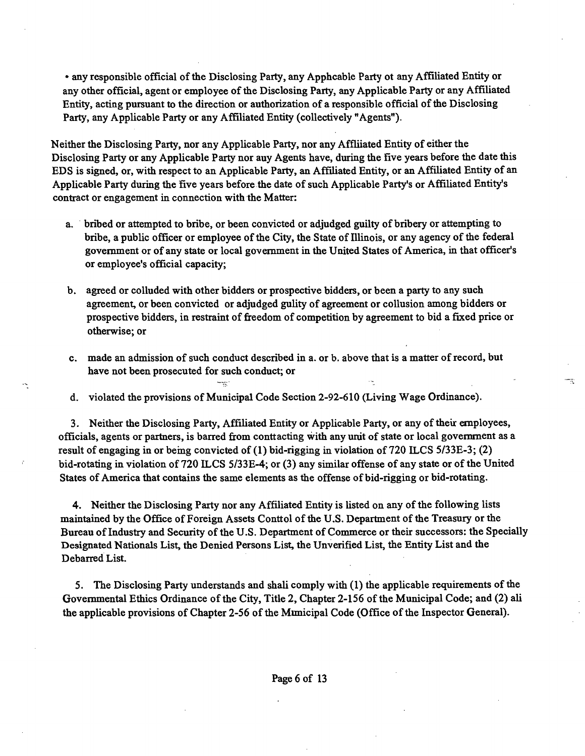**• any responsible official of the Disclosing Party, any Apphcable Party ot any Affiliated Entity or**  any other official, agent or employee of the Disclosing Party, any Applicable Party or any Affiliated **Entity, acting pursuant to the direction or authorization of a responsible official of the Disclosing**  Party, any Applicable Party or any Affiliated Entity (collectively "Agents").

Neither the Disclosing Party, nor any Applicable Party, nor any Affliated Entity of either the Disclosing Party or any Applicable Party nor auy Agents have, during the five years before the date this EDS is signed, or, with respect to an Applicable Party, an Affiliated Entity, or an Affiliated Entity of an Applicable Party during the five years before the date of such Applicable Party's or Affiliated Entity's **contract or engagement in connection with the Matter:** 

- **a. bribed or attempted to bribe, or been convicted or adjudged guilty of bribery or attempting to**  bribe, a public officer or employee of the City, the State of Illinois, or any agency of the federal **govemment or of any state or local govemment in the United States of America, in that officer's or employee's official capacity;**
- **b. agreed or colluded with other bidders or prospective bidders, or been a party to any such**  agreement, or been convicted or adjudged gulity of agreement or collusion among bidders or **prospective bidders, in restraint of freedom of competition by agreement to bid a fixed price or otherwise; or**
- **c. made an admission of such conduct described in a. or b. above that is a matter of record, but have not been prosecuted for such conduct; or**

ing.

**d. violated the provisions of Municipal Code Section 2-92-610 (Living Wage Ordinance).** 

÷

3. Neither the Disclosing Party, Affiliated Entity or Applicable Party, or any of their employees, **officials, agents or partners, is barred from conttacting with any urut of state or local govemment as a**  result of engaging in or being convicted of (1) bid-rigging in violation of 720 ILCS 5/33E-3; (2) **bid-rotating in violation of 720 ILCS 5/33E-4; or (3) any similar offense of any state or of the United States of America that contains the same elements as the offense of bid-rigging or bid-rotating.** 

**4. Neither the Disclosing Party nor any Affiliated Entity is listed on any of the following lists maintained by the Office of Foreign Assets Conttol of the U.S. Department of the Treasury or the**  Bureau of Industry and Security of the U.S. Department of Commerce or their successors: the Specially Designated Nationals List, the Denied Persons List, the Unverified List, the Entity List and the **Debarred List.** 

5. The Disclosing Party understands and shali comply with (1) the applicable requirements of the Governmental Ethics Ordinance of the City, Title 2, Chapter 2-156 of the Municipal Code; and (2) ali the applicable provisions of Chapter 2-56 of the Mimicipal Code (Office of the Inspector General).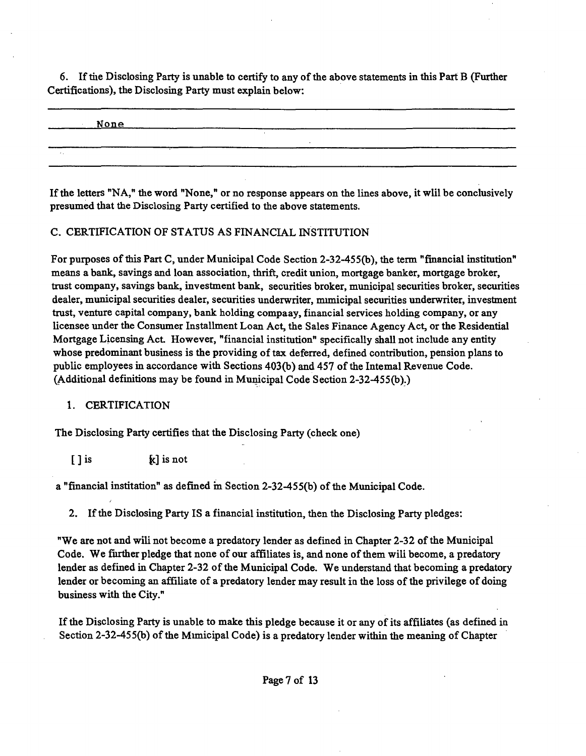**6. If tiie Disclosing Party is unable to certify to any of the above statements in this Part B (Further Certifications), the Disclosing Party must explain below:** 

| None |  |
|------|--|
|      |  |
|      |  |

If the letters "NA," the word "None," or no response appears on the lines above, it will be conclusively **presumed that the Disclosing Party certified to the above statements.** 

## **C. CERTIFICATION OF STATUS AS FINANCIAL INSTITUTION**

**For purposes of this Part C, under Municipal Code Section 2-32-455(b), the term "financial institution" means a bank, savings and loan association, thrift, credit union, mortgage banker, mortgage broker, trast company, savings bank, investment bank, securities broker, municipal securities broker, securities dealer, municipal securities dealer, securities underwriter, mimicipal securities underwriter, investment trust, venture capital company, bank holding compaay, financial services holding company, or any**  licensee under the Consumer Installment Loan Act, the Sales Finance Agency Act, or the Residential **Mortgage Licensing Act. However, "financial institution" specifically shall not include any entity**  whose predominant business is the providing of tax deferred, defined contribution, pension plans to public employees in accordance with Sections 403(b) and 457 of the Intemal Revenue Code. **(Additional definitions may be found in Municipal Code Section 2-32-455(b).)** 

## **1. CERTIFICATION**

**The Disclosing Party certifies that the Disclosing Party (check one)** 

**[ ] is {c] is not** 

**a "financial institation" as defined m Section 2-32-455(b) of the Municipal Code.** 

**2. Ifthe Disclosing Party IS a financial institation, then the Disclosing Party pledges:** 

**"We are not and wiU not become a predatory lender as defined in Chapter 2-32 ofthe Municipal**  Code. We further pledge that none of our affiliates is, and none of them will become, a predatory lender as defined in Chapter 2-32 of the Municipal Code. We understand that becoming a predatory lender or becoming an affiliate of a predatory lender may result in the loss of the privilege of doing **business with the City."** 

If the Disclosing Party is unable to make this pledge because it or any of its affiliates (as defined in **Section 2-32-455(b) of the Mimicipal Code) is a predatory lender within the meaning of Chapter**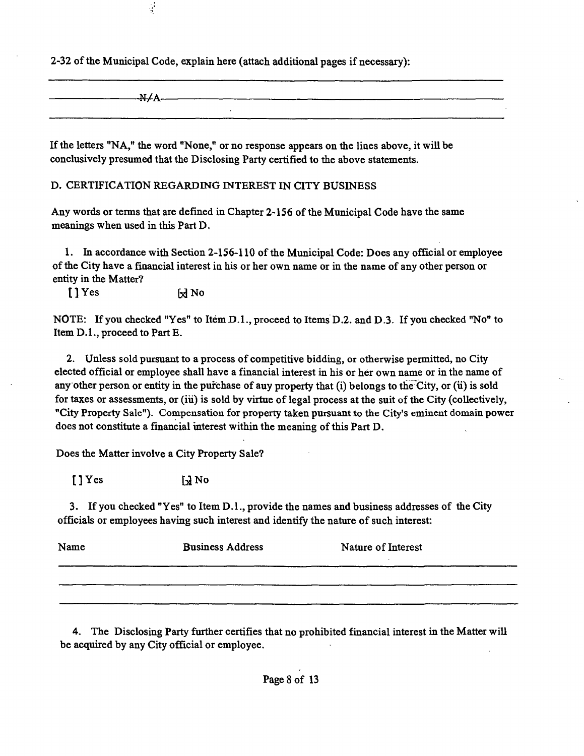**2-32 of the Municipal Code, explain here (attach additional pages if necessary):** 

**-N/A-**

**If the letters "NA," the word "None," or no response appears on the lines above, it will be conclusively presumed that the Disclosing Party certified to the above statements.** 

**D. CERTIFICATION REGARDING INTEREST IN CITY BUSINESS** 

**Any words or terms that are defined in Chapter 2-156 of the Municipal Code have the same meanings when used in this Part D.** 

**1. In accordance with Section 2-156-110 of the Municipal Code: Does any official or employee**  of the City have a financial interest in his or her own name or in the name of any other person or **entity in the Matter?** 

[] Yes [x] No

 $\frac{1}{2}$ 

**NOTE: If you checked "Yes" to Item D.L, proceed to Items D.2. and D.3. If you checked "No" to Item D.L, proceed to Part E.** 

**2. Unless sold pursuant to a process of competitive bidding, or otherwise permitted, no City elected official or employee shall have a financial interest in his or her own name or in the name of**  any other person or entity in the purchase of auy property that (i) belongs to the City, or (ii) is sold for taxes or assessments, or (iu) is sold by virtue of legal process at the suit of the City (collectively, **"City Property Sale"). Compensation for property taken pursuant to the City's eminent domain power does not constitate a financial uiterest within the meaning of this Part D.** 

**Does the Matter involve a City Property Sale?** 

 $[$   $]$   $Y$  es  $\qquad$   $\qquad$   $\qquad$   $\qquad$   $\qquad$   $\qquad$   $\qquad$   $\qquad$   $\qquad$   $\qquad$   $\qquad$   $\qquad$   $\qquad$   $\qquad$   $\qquad$   $\qquad$   $\qquad$   $\qquad$   $\qquad$   $\qquad$   $\qquad$   $\qquad$   $\qquad$   $\qquad$   $\qquad$   $\qquad$   $\qquad$   $\qquad$   $\qquad$   $\qquad$   $\qquad$   $\qquad$   $\qquad$   $\qquad$   $\$ 

**3. If you checked "Yes" to Item D.l., provide the names and business addresses of the City officials or employees havuig such interest and identify the nature of such interest:** 

| Name | <b>Business Address</b> | Nature of Interest |
|------|-------------------------|--------------------|
|      |                         |                    |
|      |                         |                    |

**4. The Disclosing Party further certifies that no prohibited financial interest in the Matter wiU be acquired by any City official or employee.**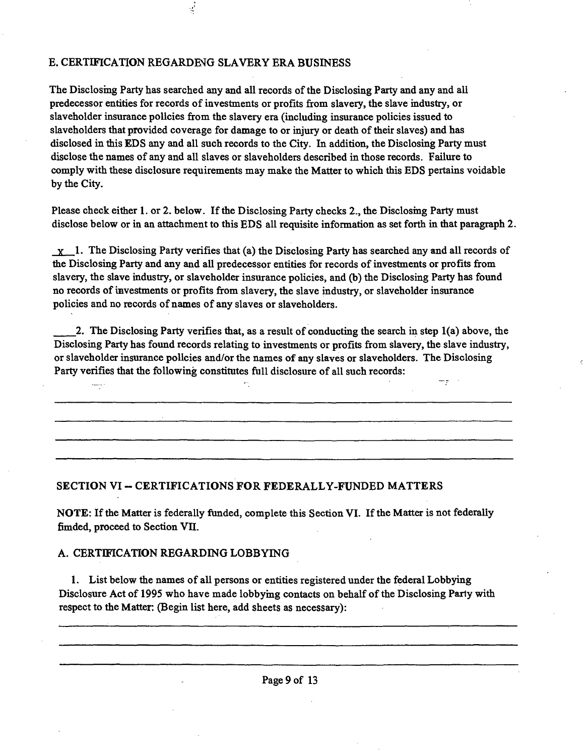## E. CERTIFICATION REGARDE^G SLAVERY ERA BUSINESS

 $\frac{1}{\sqrt{2}}$ 

The Disclosing Party has searched any and all records of the Disclosing Party and any and all predecessor entities for records of investments or profits from slavery, the slave industry, or slaveholder insurance policies from the slavery era (including insurance policies issued to slaveholders that provided coverage for damage to or injury or death of their slaves) and has disclosed in this EDS any and all such records to the City. In addition, the Disclosing Party must disclose the names of any and all slaves or slaveholders described in those records. Failure to comply with these disclosure requirements may make the Matter to which this EDS pertains voidable by the City.

Please check either 1. or 2. below. If the Disclosing Party checks 2., the Disclosing Party must disclose below or in an attachment to this EDS all requisite information as set forth in that paragraph 2.

 $x_1$ . The Disclosing Party verifies that (a) the Disclosing Party has searched any and all records of the Disclosing Party and any and all predecessor entities for records of investments or profits from slavery, the slave industry, or slaveholder insurance policies, and (b) the Disclosing Party has found no records of investments or profits from slavery, the slave industry, or slaveholder insurance policies and no records of names of any slaves or slaveholders.

2. The Disclosing Party verifies that, as a result of conducting the search in step 1(a) above, the Disclosing Party has found records relating to investments or profits from slavery, the slave industry, or slaveholder insurance policies and/or the names of any slaves or slaveholders. The Disclosing Party verifies that the following constitates full disclosure of all such records:

πŗ

## **SECTION VI - CERTIFICATIONS FOR FEDERALLY-FUNDED MATTERS**

NOTE: If the Matter is federally funded, complete this Section VI. If the Matter is not federally fimded, proceed to Section VII.

## A. CERTIFICATION REGARDING LOBBYING

 $\frac{1}{2}$ 

1. List below the names of all persons or entities registered under the federal Lobbying Disclosure Act of 1995 who have made lobbymg contacts on behalf of the Disclosing Party with respect to the Matter; (Begin list here, add sheets as necessary):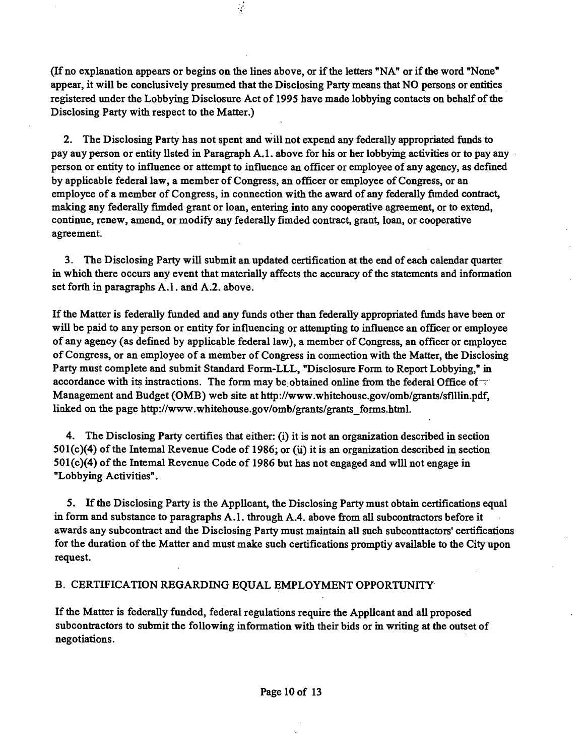**(If no explanation appears or begins on the lines above, or ifthe letters "NA" or ifthe word "None" appear, it will be conclusively presumed that the Disclosing Party means that NO persons or entities**  registered under the Lobbying Disclosure Act of 1995 have made lobbying contacts on behalf of the **Disclosing Party with respect to the Matter.)** 

 $\frac{1}{2}$ 

**2. The Disclosing Party has not spent and will not expend any federally appropriated funds to pay auy person or entity Usted in Paragraph A. 1. above for his or her lobbymg activities or to pay any person or entity to influence or attempt to influence an officer or employee of any agency, as defined by applicable federal law, a member of Congress, an officer or employee of Congress, or an**  employee of a member of Congress, in connection with the award of any federally fimded contract, making any federally fimded grant or loan, entering into any cooperative agreement, or to extend, continue, renew, amend, or modify any federally fimded contract, grant, loan, or cooperative agreement.

**3. The Disclosing Party wiU submit an updated certification at the end of each calendar quarter**  in which there occurs any event that materially affects the accuracy of the statements and information **set forth in paragraphs A.l. and A.2. above.** 

If the Matter is federally funded and any funds other than federally appropriated fimds have been or **wiU be paid to any person or entity for influencing or atten^ting to influence an officer or employee of any agency (as defined by applicable federal law), a member of Congress, an officer or employee of Congress, or an employee of a member of Congress in coimection with the Matter, the Disclosmg Party must complete and submit Standard Form-LLL, "Disclosure Form to Report Lobbying," in accordance with its instractions. The form may be obtained online from the federal Office of Management and Budget (OMB) web site at http://www.whitehouse.gov/omb/grants/sflllin.pdf,**  linked on the page http://www.whitehouse.gov/omb/grants/grants forms.html.

**4. The Disclosing Party certifies that either: (i) it is not an organization described in section 501(c)(4) ofthe Intemal Revenue Code of 1986; or (u) it is an organization described in section 501(c)(4) of the Intemal Revenue Code of 1986 but has not engaged and wUl not engage in "Lobbying Activities".** 

**5.** If the Disclosing Party is the Applicant, the Disclosing Party must obtain certifications equal in form and substance to paragraphs A.1. through A.4. above from all subcontractors before it **awards any subcontract and the Disclosing Party must maintain aU such subconttactors' certifications**  for the duration of the Matter and must make such certifications promptiy available to the City upon **request.** 

## **B. CERTIFICATION REGARDING EQUAL EMPLOYMENT OPPORTUNITY**

**Ifthe Matter is federaUy funded, federal regulations require the AppUcant and aU proposed subcontractors to submit the following information with their bids or m writing at the outset of negotiations.**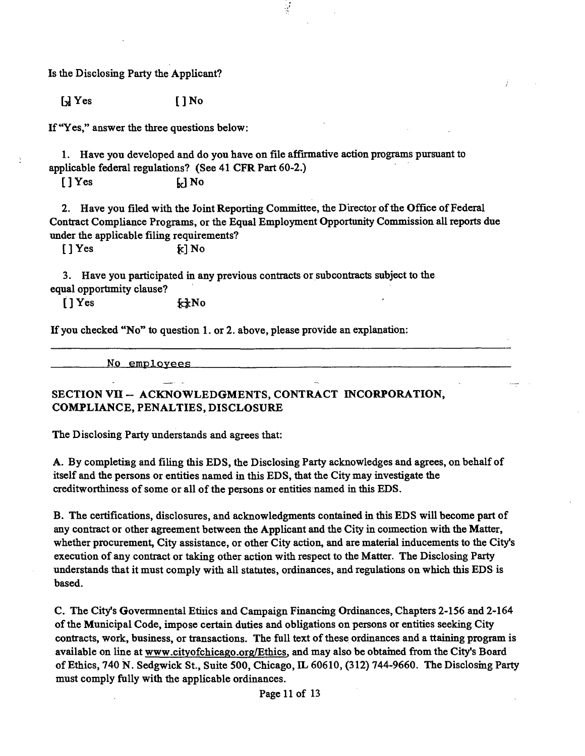Is the Disclosing Party the Applicant?

 $\bigcup$  Yes  $\bigcap$  No

If "Yes," answer the three questions below:

1. Have you developed and do you have on file affirmative action programs pursuant to applicable federal regulations? (See 41 CFR Part 60-2.)

 $[$   $]$   $Y$ es  $\qquad \qquad$   $\qquad$   $\qquad$   $\qquad$   $\qquad$   $\qquad$   $\qquad$   $\qquad$   $\qquad$   $\qquad$   $\qquad$   $\qquad$   $\qquad$   $\qquad$   $\qquad$   $\qquad$   $\qquad$   $\qquad$   $\qquad$   $\qquad$   $\qquad$   $\qquad$   $\qquad$   $\qquad$   $\qquad$   $\qquad$   $\qquad$   $\qquad$   $\qquad$   $\qquad$   $\qquad$   $\qquad$   $\qquad$   $\qquad$ 

2. Have you filed with the Joint Reporting Committee, the Durector of the Office of Federal Contract Compliance Programs, or the Equal Employment Opportunity Commission all reports due under the applicable filing requirements?

l.

 $[$  ] Yes  $\kappa$  ] No

3. Have you participated in any previous contracts or subcontracts subject to the equal opportimity clause?

 $[1$  Yes  $\kappa kN$ o

If you checked "No" to question 1. or 2. above, please provide an explanation:

No employees

**SECTION VU - ACKNOWLEDGMENTS, CONTRACT INCORPORATION, COMPLIANCE, PENALTIES, DISCLOSURE** 

The Disclosing Party understands and agrees that:

A. By complethag and filing this EDS, the Disclosing Party acknowledges and agrees, on behalf of itself and the persons or entities named in this EDS, that the City may investigate the creditworthiness of some or all of the persons or entities named in this EDS.

B. The certifications, disclosures, and acknowledgments contained in this EDS will become part of any contract or other agreement between the Applicant and the City in coimection with the Matter, whether procurement, City assistance, or other City action, and are material inducements to the City's execution of any contract or taking other action with respect to the Matter. The Disclosing Party understands that it must comply with all statates, ordinances, and regulations on which this EDS is based.

C. The City's Govermnental Etiiics and Campaign Financmg Ordinances, Chapters 2-156 and 2-164 of the Municipal Code, impose certain duties and obligations on persons or entities seeking City contracts, work, business, or transactions. The full text of these ordinances and a ttaining program is available on line at www.cityofchicago.org/Ethics. and may also be obtamed from the City's Board of Ethics, 740 N . Sedgwick St., Suite 500, Chicago, IL 60610, (312) 744-9660. The Disclosmg Party must comply fully with the applicable ordinances.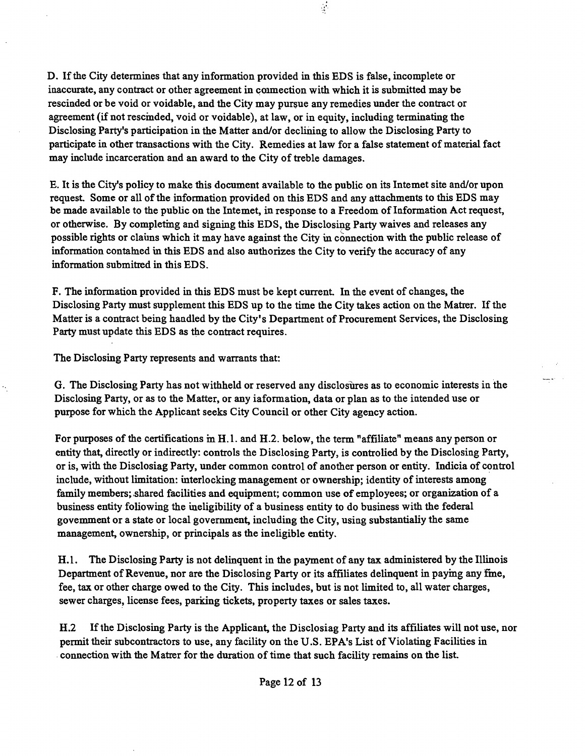**D. Ifthe City determines that any information provided in this EDS is false, incomplete or inaccurate, any contract or other agreement in coimection with which it is submitted may be rescinded or be void or voidable, and the City may pursue any remedies under the contract or agreement (if not rescmded, void or voidable), at law, or in equity, including terminating the Disclosing Party's participation in the Matter and/or declining to allow the Disclosing Party to participate in other transactions with the City. Remedies at law for a false statement of material fact may include incarceration and an award to the City of treble damages.** 

 $\frac{1}{2}$ 

**E.** It is the City's policy to make this document available to the public on its Intemet site and/or upon **request Some or all of the information provided on this EDS and any attachments to this EDS may**  be made available to the public on the Intemet, in response to a Freedom of Information Act request, **or otherwise. By completmg and signing this EDS, the Disclosing Party waives and releases any**  possible rights or clauns which it may have against the City in connection with the public release of information contamed in this EDS and also authorizes the City to verify the accuracy of any **information submitted in this EDS.** 

F. The information provided in this EDS must be kept current. In the event of changes, the **Disclosing Party must supplement this EDS up to the time fhe City takes action on the Matter. If the**  Matter is a contract being handled by the City's Department of Procurement Services, the Disclosing Party must update this EDS as the contract requires.

**The Disclosing Party represents and warrants that:** 

**G. The Disclosing Party has not withheld or reserved any disclosures as to economic interests in the Disclosing Party, or as to the Matter, or any iaformation, data or plan as to the intended use or purpose for which the Applicant seeks City Council or other City agency action.** 

For purposes of the certifications in H.1. and H.2. below, the term "affiliate" means any person or entity that, directly or indirectly: controls the Disclosing Party, is controlied by the Disclosing Party, **or is, with the Disclosiag Party, under common conttol of another person or entity. Indicia of conttol include, without limitation: uiterlocking management or ownership; identity of interests among**  family members; shared facilities and equipment; common use of employees; or organization of a business entity foliowing the ineligibility of a business entity to do business with the federal govemment or a state or local government, including the City, using substantialiy the same management, ownership, or principals as the ineligible entity.

**H.l. The Disclosing Party is not delinquent in the payment of any tax administered by the Illinois Department of Revenue, nor are the Disclosing Party or its affiliates delinquent in paymg any fme, fee, tax or other charge owed to the City. This includes, but is not limited to, all water charges,**  sewer charges, license fees, parking tickets, property taxes or sales taxes.

H.2 If the Disclosing Party is the Applicant, the Disclosiag Party and its affiliates will not use, nor **permit their subcontractors to use, any facility on the U.S. EPA's List of Violating Facilities in**  connection with the Matter for the duration of time that such facility remains on the list.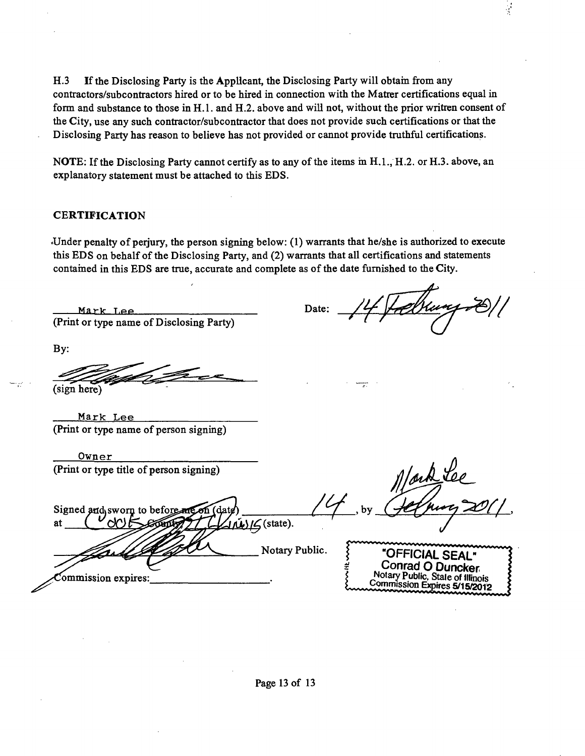H.3 If the Disclosing Party is the Applicant, the Disclosing Party will obtain from any conttactors/subconttactors hired or to be hired in connection with the Matter certifications equal in form and substance to those in H.1. and H.2. above and will not, without the prior written consent of the City, use any such contractor/subcontractor that does not provide such certifications or that the Disclosing Party has reason to believe has not provided or cannot provide trathful certifications.

NOTE: If the Disclosing Party cannot certify as to any of the items in  $H<sub>1.1</sub>$ ,  $H<sub>1.2</sub>$ . or  $H<sub>1.3</sub>$ . above, an explanatory statement must be attached to this EDS.

## **CERTIFICATION**

-Under penalty of perjury, the person signing below: (1) warrants that he/she is authorized to execute this EDS on behalf of the Disclosing Party, and (2) warrants that all certifications and statements contamed in this EDS are true, accurate and complete as of the date furnished to the City.

 $Mark Lie$  Date: (Print or type name of Disclosing Party)

Ý

By:

sign here

Mark Lee (Print or type name of person signing)

| Owner                                   |  |
|-----------------------------------------|--|
| (Print or type title of person signing) |  |

Signed and sworn to before at  $J/M/G$ (state). Notary Public **"OFFICIAL SEAL" Conrad O Duncker Notary Public, Stale of Illinois**  ommission expires: **Commission Expires 5/15/2012**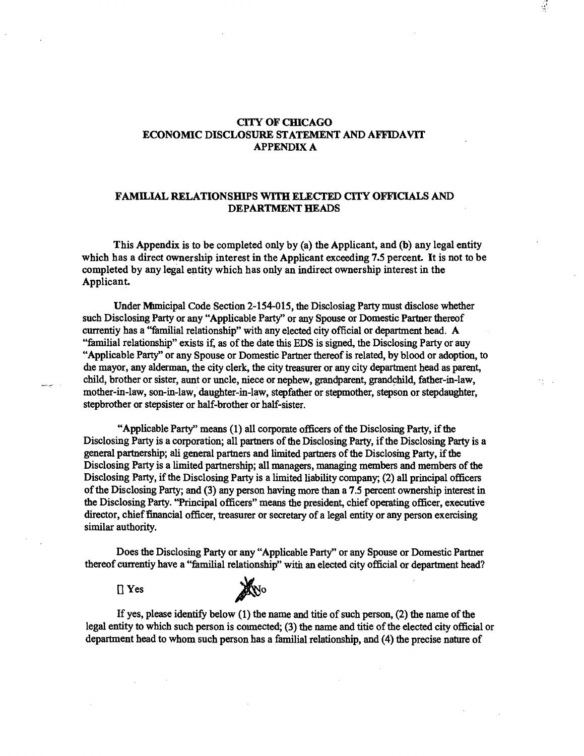## **CITYOFCHICAGO ECONOMIC DISCLOSURE STATEMENT AND AFFIDAVIT APPENDIX A**

 $\frac{1}{2}$ 

### **FAMILIAL RELATIONSHIPS WITH ELECTED CITY OFFICIALS AND DEPARTMENT HEADS**

**This Appendix is to be completed only by (a) the Applicant, and (fo) any legal entity**  which has a direct ownership interest in the Applicant exceeding 7.5 percent. It is not to be **completed by any legal entity which has only an indirect ownership interest in the Applicant.** 

Under Mimicipal Code Section 2-154-015, the Disclosiag Party must disclose whether such Disclosing Party or any "Applicable Party" or any Spouse or Domestic Partner thereof currentiy has a "familial relationship" with any elected city official or department head. A "familial relationship" exists if, as of the date this EDS is signed, the Disclosing Party or auy "Applicable Party" or any Spouse or Domestic Partner thereof is related, by blood or adoption, to die mayor, any alderman, the city clerk, the city treasurer or any city department head as parent child, brother or sister, aunt or uncle, niece or nephew, grandparent, grandchild, father-in-law, mother-in-law, son-in-law, daughter-in-law, stepfather or stepmother, stepson or stepdaughter, stepbrother or stepsister or half-brother or half-sister.

"Applicable Party" means (1) all corporate officers of the Disclosing Party, if the Disclosing Party is a corporation; all partners of the Disclosing Party, if the Disclosing Party is a general partnership; ali general partners and limited partners of the Disclosing Party, if the Disclosing Party is a limited partnership; all managers, managing members and members of the Disclosing Party, if the Disclosing Party is a limited liability company; (2) all principal officers ofthe Disclosing Party; and (3) any person having more than a 7.5 percent ownership interest in the Disclosing Party. "Principal officers" means the president, chief operating officer, executive director, chief financial officer, treasurer or secretary of a legal entity or any person exercising similar authority.

Does the Disclosing Party or any "Applicable Party" or any Spouse or Domestic Partner thereof currentiy have a "familial relationship" with an elected city official or department head?

 $\prod$  Yes



If yes, please identify below  $(1)$  the name and titie of such person,  $(2)$  the name of the legal entity to which such person is connected; (3) the name and titie of the elected city official or department head to whom such person has a familial relationship, and (4) the precise nature of